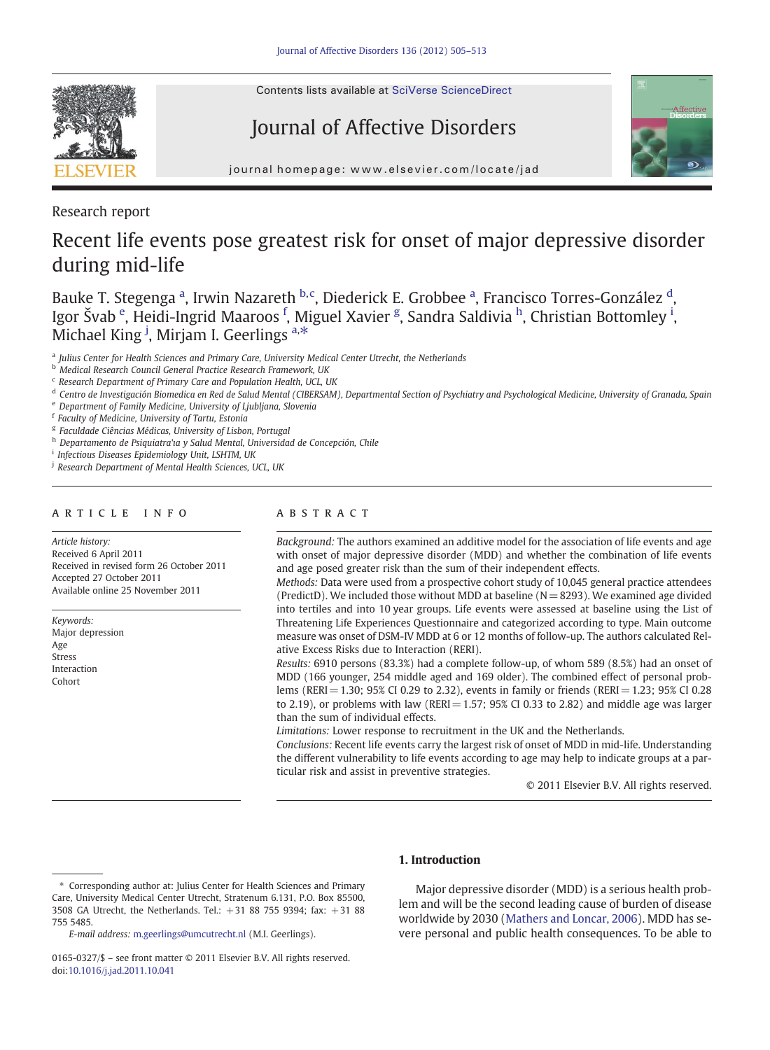

Contents lists available at [SciVerse ScienceDirect](http://www.sciencedirect.com/science/journal/01650327)

# Journal of Affective Disorders



journal homepage: www.elsevier.com/locate/jad

Research report

# Recent life events pose greatest risk for onset of major depressive disorder during mid-life

Bauke T. Stegenga <sup>a</sup>, Irwin Nazareth <sup>b, c</sup>, Diederick E. Grobbee <sup>a</sup>, Francisco Torres-González <sup>d</sup>, Igor Švab <sup>e</sup>, Heidi-Ingrid Maaroos <sup>f</sup>, Miguel Xavier <sup>g</sup>, Sandra Saldivia <sup>h</sup>, Christian Bottomley <sup>i</sup>, Michael King <sup>j</sup>, Mirjam I. Geerlings <sup>a,\*</sup>

<sup>a</sup> Julius Center for Health Sciences and Primary Care, University Medical Center Utrecht, the Netherlands

<sup>b</sup> Medical Research Council General Practice Research Framework, UK

- <sup>d</sup> Centro de Investigación Biomedica en Red de Salud Mental (CIBERSAM), Departmental Section of Psychiatry and Psychological Medicine, University of Granada, Spain
- <sup>e</sup> Department of Family Medicine, University of Ljubljana, Slovenia

<sup>f</sup> Faculty of Medicine, University of Tartu, Estonia

<sup>g</sup> Faculdade Ciências Médicas, University of Lisbon, Portugal

h Departamento de Psiquiatra'ia y Salud Mental, Universidad de Concepción, Chile

<sup>i</sup> Infectious Diseases Epidemiology Unit, LSHTM, UK

# article info abstract

Article history: Received 6 April 2011 Received in revised form 26 October 2011 Accepted 27 October 2011 Available online 25 November 2011

Keywords: Major depression Age Stress Interaction Cohort

Background: The authors examined an additive model for the association of life events and age with onset of major depressive disorder (MDD) and whether the combination of life events and age posed greater risk than the sum of their independent effects.

Methods: Data were used from a prospective cohort study of 10,045 general practice attendees (PredictD). We included those without MDD at baseline ( $N=8293$ ). We examined age divided into tertiles and into 10 year groups. Life events were assessed at baseline using the List of Threatening Life Experiences Questionnaire and categorized according to type. Main outcome measure was onset of DSM-IV MDD at 6 or 12 months of follow-up. The authors calculated Relative Excess Risks due to Interaction (RERI).

Results: 6910 persons (83.3%) had a complete follow-up, of whom 589 (8.5%) had an onset of MDD (166 younger, 254 middle aged and 169 older). The combined effect of personal problems (RERI = 1.30; 95% CI 0.29 to 2.32), events in family or friends (RERI = 1.23; 95% CI 0.28 to 2.19), or problems with law (RERI  $= 1.57$ ; 95% CI 0.33 to 2.82) and middle age was larger than the sum of individual effects.

Limitations: Lower response to recruitment in the UK and the Netherlands.

Conclusions: Recent life events carry the largest risk of onset of MDD in mid-life. Understanding the different vulnerability to life events according to age may help to indicate groups at a particular risk and assist in preventive strategies.

© 2011 Elsevier B.V. All rights reserved.

# 1. Introduction

Major depressive disorder (MDD) is a serious health problem and will be the second leading cause of burden of disease worldwide by 2030 [\(Mathers and Loncar, 2006\)](#page-8-0). MDD has severe personal and public health consequences. To be able to

<sup>c</sup> Research Department of Primary Care and Population Health, UCL, UK

<sup>&</sup>lt;sup>j</sup> Research Department of Mental Health Sciences, UCL, UK

<sup>⁎</sup> Corresponding author at: Julius Center for Health Sciences and Primary Care, University Medical Center Utrecht, Stratenum 6.131, P.O. Box 85500, 3508 GA Utrecht, the Netherlands. Tel.: +31 88 755 9394; fax: +31 88 755 5485.

E-mail address: [m.geerlings@umcutrecht.nl](mailto:m.geerlings@umcutrecht.nl) (M.I. Geerlings).

<sup>0165-0327/\$</sup> – see front matter © 2011 Elsevier B.V. All rights reserved. doi[:10.1016/j.jad.2011.10.041](http://dx.doi.org/10.1016/j.jad.2011.10.041)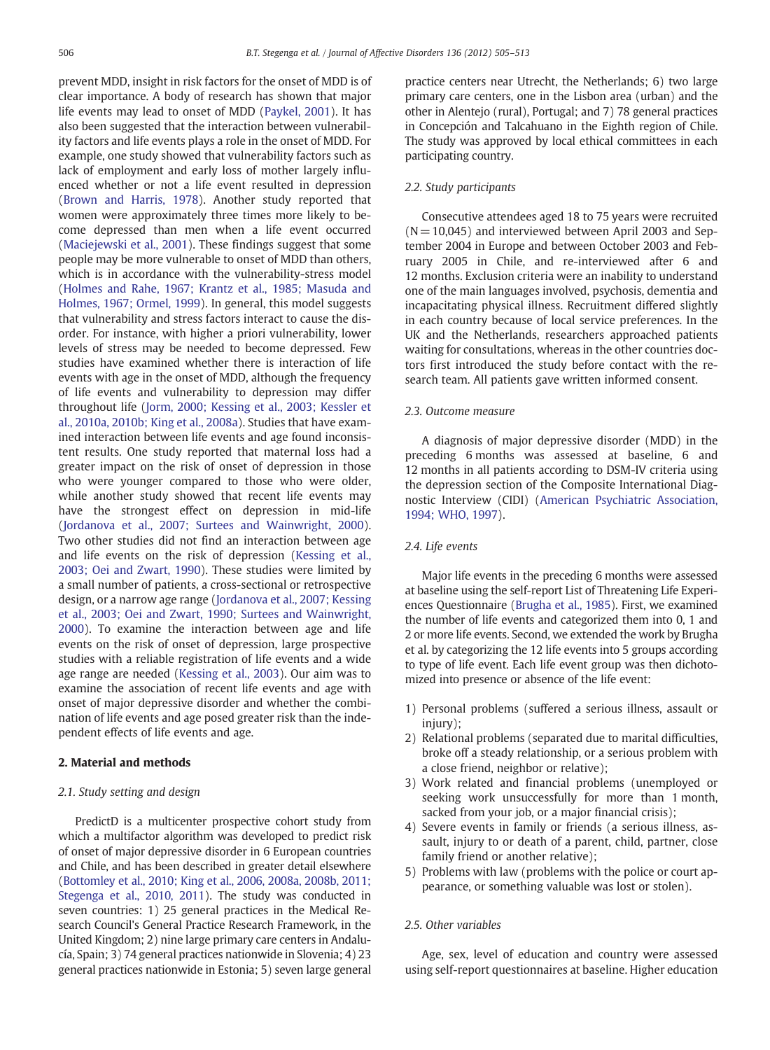prevent MDD, insight in risk factors for the onset of MDD is of clear importance. A body of research has shown that major life events may lead to onset of MDD ([Paykel, 2001\)](#page-8-0). It has also been suggested that the interaction between vulnerability factors and life events plays a role in the onset of MDD. For example, one study showed that vulnerability factors such as lack of employment and early loss of mother largely influenced whether or not a life event resulted in depression ([Brown and Harris, 1978](#page-7-0)). Another study reported that women were approximately three times more likely to become depressed than men when a life event occurred ([Maciejewski et al., 2001\)](#page-8-0). These findings suggest that some people may be more vulnerable to onset of MDD than others, which is in accordance with the vulnerability-stress model ([Holmes and Rahe, 1967; Krantz et al., 1985; Masuda and](#page-8-0) [Holmes, 1967; Ormel, 1999\)](#page-8-0). In general, this model suggests that vulnerability and stress factors interact to cause the disorder. For instance, with higher a priori vulnerability, lower levels of stress may be needed to become depressed. Few studies have examined whether there is interaction of life events with age in the onset of MDD, although the frequency of life events and vulnerability to depression may differ throughout life [\(Jorm, 2000; Kessing et al., 2003; Kessler et](#page-8-0) [al., 2010a, 2010b; King et al., 2008a](#page-8-0)). Studies that have examined interaction between life events and age found inconsistent results. One study reported that maternal loss had a greater impact on the risk of onset of depression in those who were younger compared to those who were older, while another study showed that recent life events may have the strongest effect on depression in mid-life ([Jordanova et al., 2007; Surtees and Wainwright, 2000](#page-8-0)). Two other studies did not find an interaction between age and life events on the risk of depression [\(Kessing et al.,](#page-8-0) [2003; Oei and Zwart, 1990\)](#page-8-0). These studies were limited by a small number of patients, a cross-sectional or retrospective design, or a narrow age range ([Jordanova et al., 2007; Kessing](#page-8-0) [et al., 2003; Oei and Zwart, 1990; Surtees and Wainwright,](#page-8-0) [2000](#page-8-0)). To examine the interaction between age and life events on the risk of onset of depression, large prospective studies with a reliable registration of life events and a wide age range are needed ([Kessing et al., 2003](#page-8-0)). Our aim was to examine the association of recent life events and age with onset of major depressive disorder and whether the combination of life events and age posed greater risk than the independent effects of life events and age.

### 2. Material and methods

#### 2.1. Study setting and design

PredictD is a multicenter prospective cohort study from which a multifactor algorithm was developed to predict risk of onset of major depressive disorder in 6 European countries and Chile, and has been described in greater detail elsewhere ([Bottomley et al., 2010; King et al., 2006, 2008a, 2008b, 2011;](#page-7-0) [Stegenga et al., 2010, 2011\)](#page-7-0). The study was conducted in seven countries: 1) 25 general practices in the Medical Research Council's General Practice Research Framework, in the United Kingdom; 2) nine large primary care centers in Andalucía, Spain; 3) 74 general practices nationwide in Slovenia; 4) 23 general practices nationwide in Estonia; 5) seven large general

practice centers near Utrecht, the Netherlands; 6) two large primary care centers, one in the Lisbon area (urban) and the other in Alentejo (rural), Portugal; and 7) 78 general practices in Concepción and Talcahuano in the Eighth region of Chile. The study was approved by local ethical committees in each participating country.

## 2.2. Study participants

Consecutive attendees aged 18 to 75 years were recruited  $(N = 10,045)$  and interviewed between April 2003 and September 2004 in Europe and between October 2003 and February 2005 in Chile, and re-interviewed after 6 and 12 months. Exclusion criteria were an inability to understand one of the main languages involved, psychosis, dementia and incapacitating physical illness. Recruitment differed slightly in each country because of local service preferences. In the UK and the Netherlands, researchers approached patients waiting for consultations, whereas in the other countries doctors first introduced the study before contact with the research team. All patients gave written informed consent.

# 2.3. Outcome measure

A diagnosis of major depressive disorder (MDD) in the preceding 6 months was assessed at baseline, 6 and 12 months in all patients according to DSM-IV criteria using the depression section of the Composite International Diagnostic Interview (CIDI) ([American Psychiatric Association,](#page-7-0) [1994; WHO, 1997\)](#page-7-0).

### 2.4. Life events

Major life events in the preceding 6 months were assessed at baseline using the self-report List of Threatening Life Experiences Questionnaire [\(Brugha et al., 1985\)](#page-8-0). First, we examined the number of life events and categorized them into 0, 1 and 2 or more life events. Second, we extended the work by Brugha et al. by categorizing the 12 life events into 5 groups according to type of life event. Each life event group was then dichotomized into presence or absence of the life event:

- 1) Personal problems (suffered a serious illness, assault or injury);
- 2) Relational problems (separated due to marital difficulties, broke off a steady relationship, or a serious problem with a close friend, neighbor or relative);
- 3) Work related and financial problems (unemployed or seeking work unsuccessfully for more than 1 month, sacked from your job, or a major financial crisis);
- 4) Severe events in family or friends (a serious illness, assault, injury to or death of a parent, child, partner, close family friend or another relative);
- 5) Problems with law (problems with the police or court appearance, or something valuable was lost or stolen).

#### 2.5. Other variables

Age, sex, level of education and country were assessed using self-report questionnaires at baseline. Higher education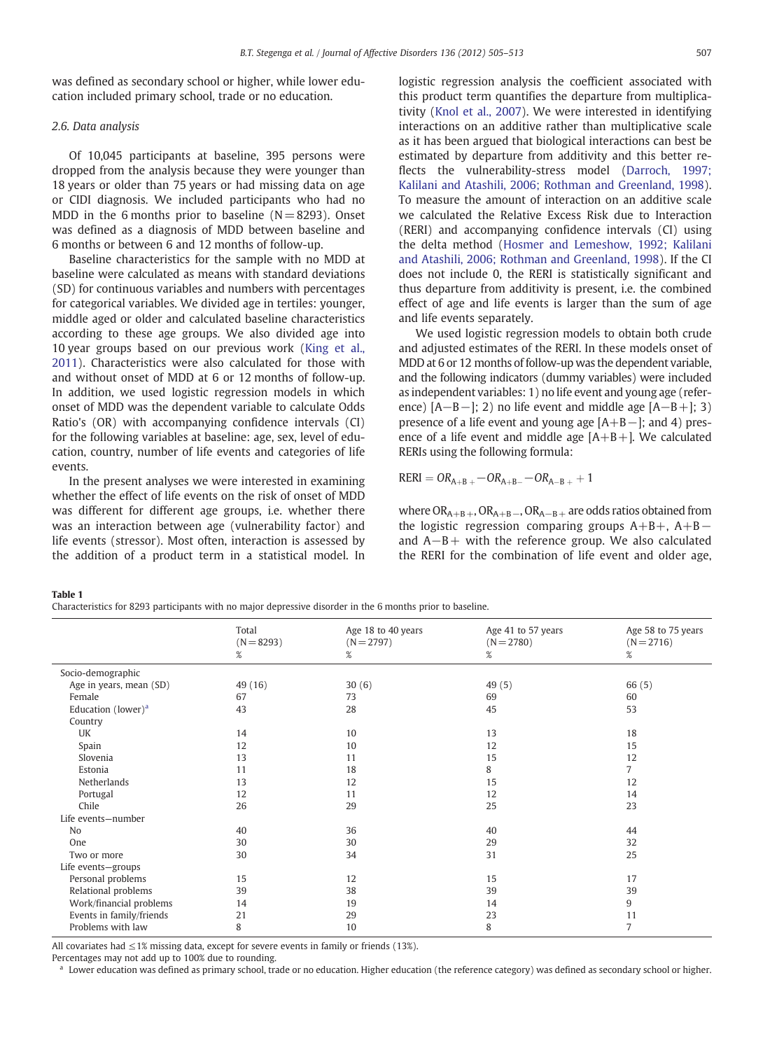<span id="page-2-0"></span>was defined as secondary school or higher, while lower education included primary school, trade or no education.

# 2.6. Data analysis

Of 10,045 participants at baseline, 395 persons were dropped from the analysis because they were younger than 18 years or older than 75 years or had missing data on age or CIDI diagnosis. We included participants who had no MDD in the 6 months prior to baseline  $(N= 8293)$ . Onset was defined as a diagnosis of MDD between baseline and 6 months or between 6 and 12 months of follow-up.

Baseline characteristics for the sample with no MDD at baseline were calculated as means with standard deviations (SD) for continuous variables and numbers with percentages for categorical variables. We divided age in tertiles: younger, middle aged or older and calculated baseline characteristics according to these age groups. We also divided age into 10 year groups based on our previous work ([King et al.,](#page-8-0) [2011](#page-8-0)). Characteristics were also calculated for those with and without onset of MDD at 6 or 12 months of follow-up. In addition, we used logistic regression models in which onset of MDD was the dependent variable to calculate Odds Ratio's (OR) with accompanying confidence intervals (CI) for the following variables at baseline: age, sex, level of education, country, number of life events and categories of life events.

In the present analyses we were interested in examining whether the effect of life events on the risk of onset of MDD was different for different age groups, i.e. whether there was an interaction between age (vulnerability factor) and life events (stressor). Most often, interaction is assessed by the addition of a product term in a statistical model. In logistic regression analysis the coefficient associated with this product term quantifies the departure from multiplicativity ([Knol et al., 2007\)](#page-8-0). We were interested in identifying interactions on an additive rather than multiplicative scale as it has been argued that biological interactions can best be estimated by departure from additivity and this better reflects the vulnerability-stress model ([Darroch, 1997;](#page-8-0) [Kalilani and Atashili, 2006; Rothman and Greenland, 1998\)](#page-8-0). To measure the amount of interaction on an additive scale we calculated the Relative Excess Risk due to Interaction (RERI) and accompanying confidence intervals (CI) using the delta method ([Hosmer and Lemeshow, 1992; Kalilani](#page-8-0) [and Atashili, 2006; Rothman and Greenland, 1998](#page-8-0)). If the CI does not include 0, the RERI is statistically significant and thus departure from additivity is present, i.e. the combined effect of age and life events is larger than the sum of age and life events separately.

We used logistic regression models to obtain both crude and adjusted estimates of the RERI. In these models onset of MDD at 6 or 12 months of follow-up was the dependent variable, and the following indicators (dummy variables) were included as independent variables: 1) no life event and young age (reference) [A−B−]; 2) no life event and middle age [A−B+]; 3) presence of a life event and young age [A+B−]; and 4) presence of a life event and middle age  $[A+B+]$ . We calculated RERIs using the following formula:

$$
RERI = OR_{A+B} - OR_{A+B-} - OR_{A-B+} + 1
$$

where  $OR_{A+B}$ ,  $OR_{A+B}$ ,  $OR_{A-B}$ , are odds ratios obtained from the logistic regression comparing groups A+B+, A+B− and A−B+ with the reference group. We also calculated the RERI for the combination of life event and older age,

Table 1

| Characteristics for 8293 participants with no major depressive disorder in the 6 months prior to baseline. |  |  |  |  |  |
|------------------------------------------------------------------------------------------------------------|--|--|--|--|--|
|------------------------------------------------------------------------------------------------------------|--|--|--|--|--|

|                          | Total<br>$(N = 8293)$<br>% | Age 18 to 40 years<br>$(N = 2797)$<br>% | Age 41 to 57 years<br>$(N = 2780)$<br>% | Age 58 to 75 years<br>$(N = 2716)$<br>% |
|--------------------------|----------------------------|-----------------------------------------|-----------------------------------------|-----------------------------------------|
| Socio-demographic        |                            |                                         |                                         |                                         |
| Age in years, mean (SD)  | 49 (16)                    | 30(6)                                   | 49(5)                                   | 66 (5)                                  |
| Female                   | 67                         | 73                                      | 69                                      | 60                                      |
| Education (lower) $a$    | 43                         | 28                                      | 45                                      | 53                                      |
| Country                  |                            |                                         |                                         |                                         |
| UK                       | 14                         | 10                                      | 13                                      | 18                                      |
| Spain                    | 12                         | 10                                      | 12                                      | 15                                      |
| Slovenia                 | 13                         | 11                                      | 15                                      | 12                                      |
| Estonia                  | 11                         | 18                                      | 8                                       | $\overline{7}$                          |
| Netherlands              | 13                         | 12                                      | 15                                      | 12                                      |
| Portugal                 | 12                         | 11                                      | 12                                      | 14                                      |
| Chile                    | 26                         | 29                                      | 25                                      | 23                                      |
| Life events-number       |                            |                                         |                                         |                                         |
| No                       | 40                         | 36                                      | 40                                      | 44                                      |
| One                      | 30                         | 30                                      | 29                                      | 32                                      |
| Two or more              | 30                         | 34                                      | 31                                      | 25                                      |
| Life events-groups       |                            |                                         |                                         |                                         |
| Personal problems        | 15                         | 12                                      | 15                                      | 17                                      |
| Relational problems      | 39                         | 38                                      | 39                                      | 39                                      |
| Work/financial problems  | 14                         | 19                                      | 14                                      | 9                                       |
| Events in family/friends | 21                         | 29                                      | 23                                      | 11                                      |
| Problems with law        | 8                          | 10                                      | 8                                       | 7                                       |

All covariates had  $\leq$ 1% missing data, except for severe events in family or friends (13%).

Percentages may not add up to 100% due to rounding.

Lower education was defined as primary school, trade or no education. Higher education (the reference category) was defined as secondary school or higher.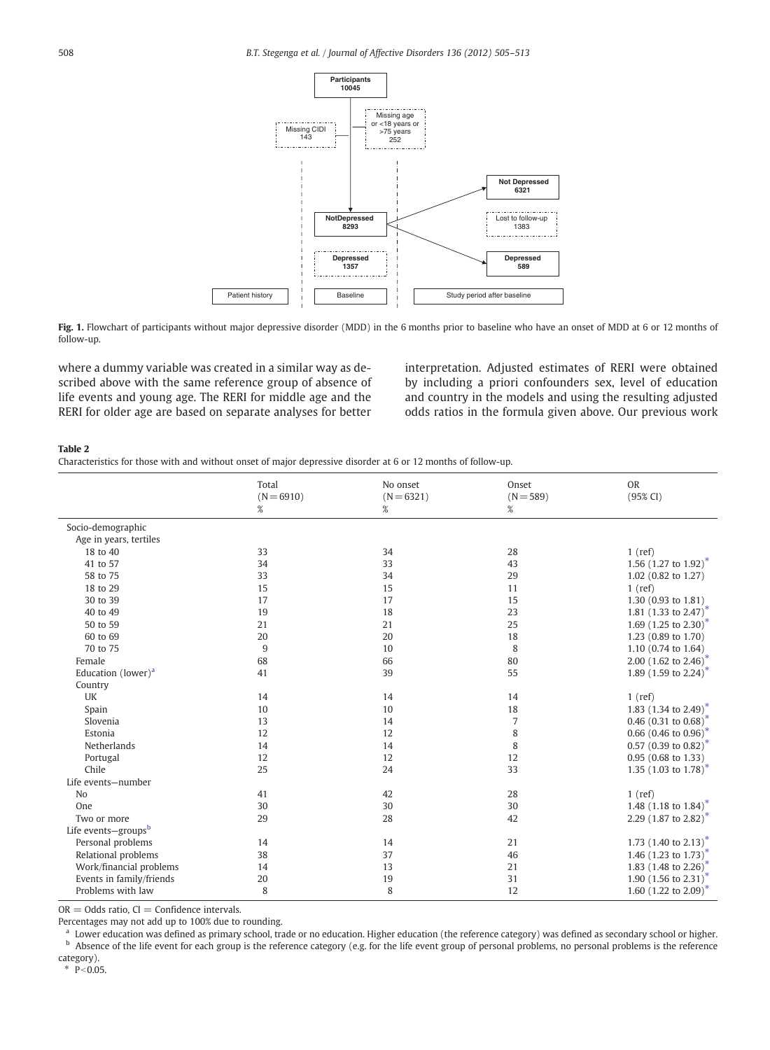<span id="page-3-0"></span>

Fig. 1. Flowchart of participants without major depressive disorder (MDD) in the 6 months prior to baseline who have an onset of MDD at 6 or 12 months of follow-up.

where a dummy variable was created in a similar way as described above with the same reference group of absence of life events and young age. The RERI for middle age and the RERI for older age are based on separate analyses for better interpretation. Adjusted estimates of RERI were obtained by including a priori confounders sex, level of education and country in the models and using the resulting adjusted odds ratios in the formula given above. Our previous work

#### Table 2

Characteristics for those with and without onset of major depressive disorder at 6 or 12 months of follow-up.

|                                             | Total<br>$(N = 6910)$<br>$\%$ | No onset<br>$(N = 6321)$<br>% | Onset<br>$(N = 589)$<br>$\%$ | OR<br>(95% CI)                            |
|---------------------------------------------|-------------------------------|-------------------------------|------------------------------|-------------------------------------------|
| Socio-demographic<br>Age in years, tertiles |                               |                               |                              |                                           |
| 18 to 40                                    | 33                            | 34                            | 28                           | $1$ (ref)                                 |
| 41 to 57                                    | 34                            | 33                            | 43                           | 1.56 $(1.27 \text{ to } 1.92)^*$          |
| 58 to 75                                    | 33                            | 34                            | 29                           | 1.02 (0.82 to 1.27)                       |
| 18 to 29                                    | 15                            | 15                            | 11                           | $1$ (ref)                                 |
| 30 to 39                                    | 17                            | 17                            | 15                           | 1.30 (0.93 to 1.81)                       |
| 40 to 49                                    | 19                            | 18                            | 23                           | 1.81 $(1.33 \text{ to } 2.47)^*$          |
| 50 to 59                                    | 21                            | 21                            | 25                           | 1.69 $(1.25 \text{ to } 2.30)^{*}$        |
| 60 to 69                                    | 20                            | 20                            | 18                           |                                           |
|                                             |                               |                               |                              | 1.23 (0.89 to 1.70)                       |
| 70 to 75                                    | 9                             | 10                            | 8                            | 1.10 (0.74 to 1.64)                       |
| Female                                      | 68                            | 66                            | 80                           | 2.00 (1.62 to 2.46) <sup>*</sup>          |
| Education (lower) <sup>a</sup>              | 41                            | 39                            | 55                           | 1.89 (1.59 to 2.24) <sup>*</sup>          |
| Country                                     |                               |                               |                              |                                           |
| UK                                          | 14                            | 14                            | 14                           | $1$ (ref)                                 |
| Spain                                       | 10                            | 10                            | 18                           | 1.83 (1.34 to 2.49) <sup>*</sup>          |
| Slovenia                                    | 13                            | 14                            | $\overline{7}$               | 0.46 $(0.31 \text{ to } 0.68)^*$          |
| Estonia                                     | 12                            | 12                            | 8                            | 0.66 $(0.46 \text{ to } 0.96)^*$          |
| Netherlands                                 | 14                            | 14                            | 8                            | 0.57 (0.39 to 0.82) <sup>*</sup>          |
| Portugal                                    | 12                            | 12                            | 12                           | 0.95 (0.68 to 1.33)                       |
| Chile                                       | 25                            | 24                            | 33                           | 1.35 $(1.03 \text{ to } 1.78)^*$          |
| Life events-number                          |                               |                               |                              |                                           |
| N <sub>0</sub>                              | 41                            | 42                            | 28                           | $1$ (ref)                                 |
| One                                         | 30                            | 30                            | 30                           | 1.48 $(1.18 \text{ to } 1.84)^*$          |
| Two or more                                 | 29                            | 28                            | 42                           | 2.29 $(1.87 \text{ to } 2.82)^{*}$        |
| Life events-groups <sup>b</sup>             |                               |                               |                              |                                           |
| Personal problems                           | 14                            | 14                            | 21                           | 1.73 $(1.40 \text{ to } 2.13)^{\text{T}}$ |
| Relational problems                         | 38                            | 37                            | 46                           | 1.46 $(1.23 \text{ to } 1.73)^*$          |
| Work/financial problems                     | 14                            | 13                            | 21                           | 1.83 $(1.48 \text{ to } 2.26)^*$          |
| Events in family/friends                    | 20                            | 19                            | 31                           | 1.90 $(1.56 \text{ to } 2.31)^{*}$        |
| Problems with law                           | 8                             | 8                             | 12                           | 1.60 $(1.22 \text{ to } 2.09)^*$          |

 $OR = Odds$  ratio,  $CI = Confidence$  intervals.

Percentages may not add up to 100% due to rounding.

<sup>a</sup> Lower education was defined as primary school, trade or no education. Higher education (the reference category) was defined as secondary school or higher. <sup>b</sup> Absence of the life event for each group is the reference category (e.g. for the life event group of personal problems, no personal problems is the reference

category).

 $* \overline{P} < 0.05.$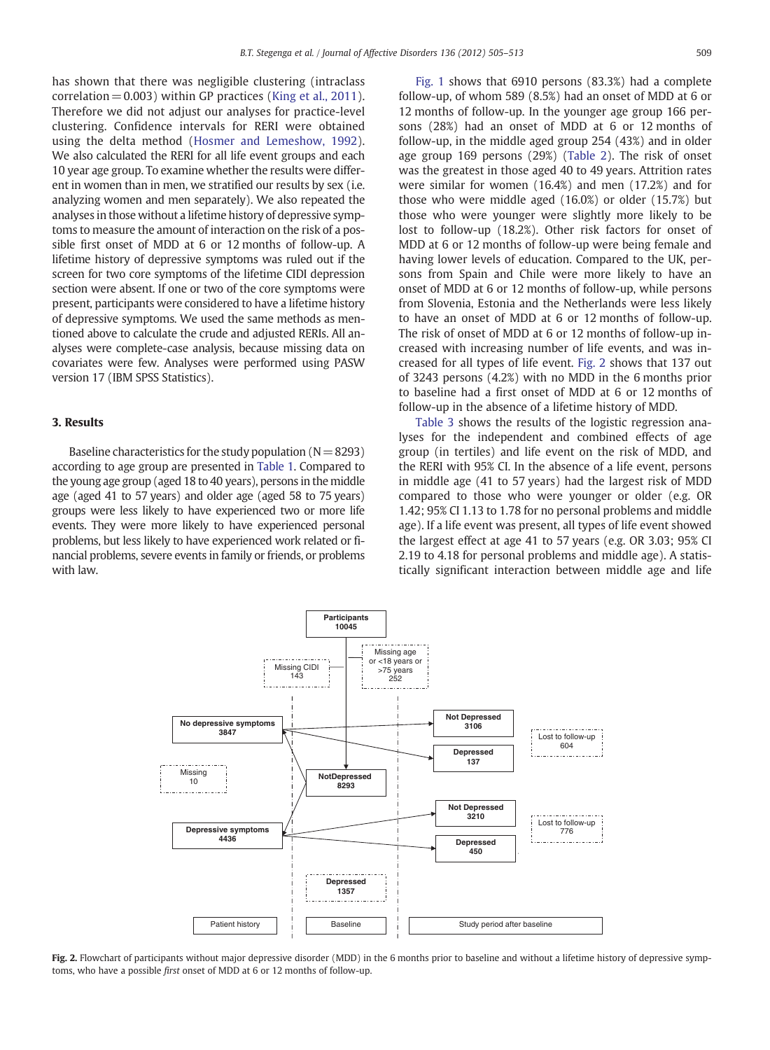has shown that there was negligible clustering (intraclass correlation  $= 0.003$ ) within GP practices [\(King et al., 2011\)](#page-8-0). Therefore we did not adjust our analyses for practice-level clustering. Confidence intervals for RERI were obtained using the delta method ([Hosmer and Lemeshow, 1992\)](#page-8-0). We also calculated the RERI for all life event groups and each 10 year age group. To examine whether the results were different in women than in men, we stratified our results by sex (i.e. analyzing women and men separately). We also repeated the analyses in those without a lifetime history of depressive symptoms to measure the amount of interaction on the risk of a possible first onset of MDD at 6 or 12 months of follow-up. A lifetime history of depressive symptoms was ruled out if the screen for two core symptoms of the lifetime CIDI depression section were absent. If one or two of the core symptoms were present, participants were considered to have a lifetime history of depressive symptoms. We used the same methods as mentioned above to calculate the crude and adjusted RERIs. All analyses were complete-case analysis, because missing data on covariates were few. Analyses were performed using PASW version 17 (IBM SPSS Statistics).

#### 3. Results

Baseline characteristics for the study population ( $N=8293$ ) according to age group are presented in [Table 1.](#page-2-0) Compared to the young age group (aged 18 to 40 years), persons in the middle age (aged 41 to 57 years) and older age (aged 58 to 75 years) groups were less likely to have experienced two or more life events. They were more likely to have experienced personal problems, but less likely to have experienced work related or financial problems, severe events in family or friends, or problems with law.

[Fig. 1](#page-3-0) shows that 6910 persons (83.3%) had a complete follow-up, of whom 589 (8.5%) had an onset of MDD at 6 or 12 months of follow-up. In the younger age group 166 persons (28%) had an onset of MDD at 6 or 12 months of follow-up, in the middle aged group 254 (43%) and in older age group 169 persons (29%) [\(Table 2](#page-3-0)). The risk of onset was the greatest in those aged 40 to 49 years. Attrition rates were similar for women (16.4%) and men (17.2%) and for those who were middle aged (16.0%) or older (15.7%) but those who were younger were slightly more likely to be lost to follow-up (18.2%). Other risk factors for onset of MDD at 6 or 12 months of follow-up were being female and having lower levels of education. Compared to the UK, persons from Spain and Chile were more likely to have an onset of MDD at 6 or 12 months of follow-up, while persons from Slovenia, Estonia and the Netherlands were less likely to have an onset of MDD at 6 or 12 months of follow-up. The risk of onset of MDD at 6 or 12 months of follow-up increased with increasing number of life events, and was increased for all types of life event. Fig. 2 shows that 137 out of 3243 persons (4.2%) with no MDD in the 6 months prior to baseline had a first onset of MDD at 6 or 12 months of follow-up in the absence of a lifetime history of MDD.

[Table 3](#page-5-0) shows the results of the logistic regression analyses for the independent and combined effects of age group (in tertiles) and life event on the risk of MDD, and the RERI with 95% CI. In the absence of a life event, persons in middle age (41 to 57 years) had the largest risk of MDD compared to those who were younger or older (e.g. OR 1.42; 95% CI 1.13 to 1.78 for no personal problems and middle age). If a life event was present, all types of life event showed the largest effect at age 41 to 57 years (e.g. OR 3.03; 95% CI 2.19 to 4.18 for personal problems and middle age). A statistically significant interaction between middle age and life



Fig. 2. Flowchart of participants without major depressive disorder (MDD) in the 6 months prior to baseline and without a lifetime history of depressive symptoms, who have a possible first onset of MDD at 6 or 12 months of follow-up.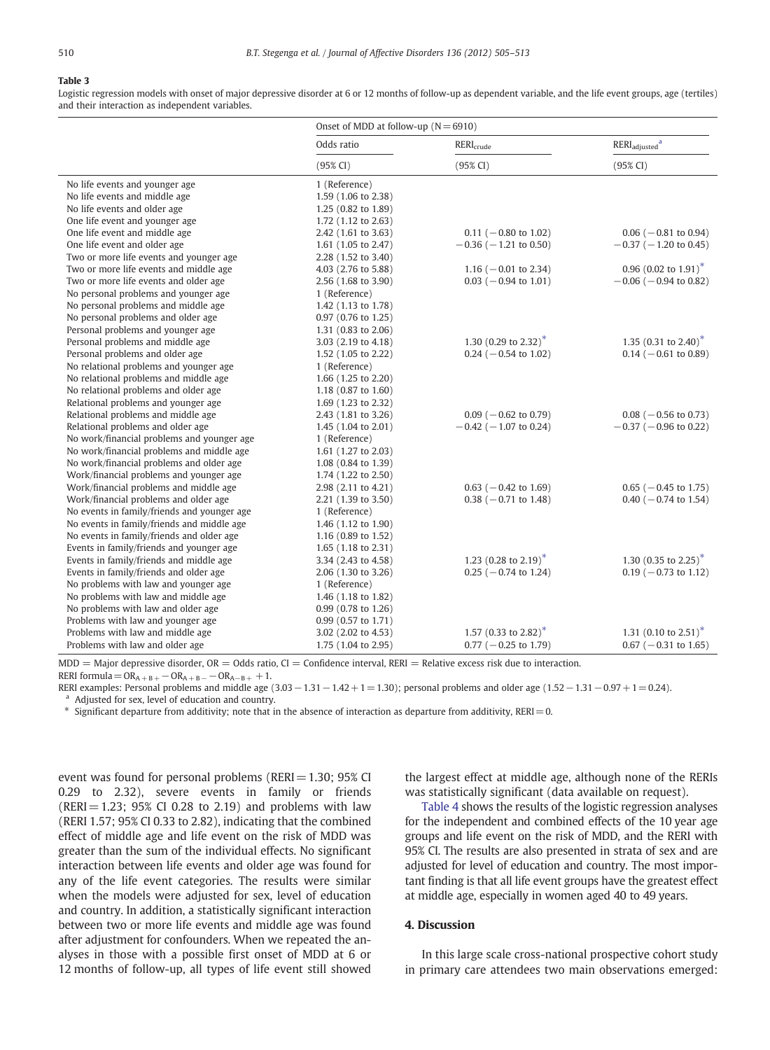## <span id="page-5-0"></span>Table 3

Logistic regression models with onset of major depressive disorder at 6 or 12 months of follow-up as dependent variable, and the life event groups, age (tertiles) and their interaction as independent variables.

|                                             | Onset of MDD at follow-up $(N = 6910)$ |                                  |                                       |  |
|---------------------------------------------|----------------------------------------|----------------------------------|---------------------------------------|--|
|                                             | Odds ratio                             | RERI <sub>crude</sub>            | RERI <sub>adiusted</sub> <sup>a</sup> |  |
|                                             | (95% CI)                               | (95% CI)                         | (95% CI)                              |  |
| No life events and younger age              | 1 (Reference)                          |                                  |                                       |  |
| No life events and middle age               | 1.59 (1.06 to 2.38)                    |                                  |                                       |  |
| No life events and older age                | 1.25 (0.82 to 1.89)                    |                                  |                                       |  |
| One life event and younger age              | 1.72 (1.12 to 2.63)                    |                                  |                                       |  |
| One life event and middle age               | 2.42 (1.61 to 3.63)                    | $0.11$ (-0.80 to 1.02)           | $0.06$ ( $-0.81$ to 0.94)             |  |
| One life event and older age                | 1.61 (1.05 to 2.47)                    | $-0.36$ ( $-1.21$ to 0.50)       | $-0.37$ ( $-1.20$ to 0.45)            |  |
| Two or more life events and younger age     | 2.28 (1.52 to 3.40)                    |                                  |                                       |  |
| Two or more life events and middle age      | 4.03 (2.76 to 5.88)                    | 1.16 ( $-0.01$ to 2.34)          | 0.96 (0.02 to $1.91$ )*               |  |
| Two or more life events and older age       | 2.56 (1.68 to 3.90)                    | $0.03$ (-0.94 to 1.01)           | $-0.06$ ( $-0.94$ to 0.82)            |  |
| No personal problems and younger age        | 1 (Reference)                          |                                  |                                       |  |
| No personal problems and middle age         | 1.42 (1.13 to 1.78)                    |                                  |                                       |  |
| No personal problems and older age          | 0.97 (0.76 to 1.25)                    |                                  |                                       |  |
| Personal problems and younger age           | 1.31 (0.83 to 2.06)                    |                                  |                                       |  |
| Personal problems and middle age            | 3.03 (2.19 to 4.18)                    | 1.30 (0.29 to 2.32) <sup>*</sup> | 1.35 (0.31 to 2.40) <sup>*</sup>      |  |
| Personal problems and older age             | 1.52 (1.05 to 2.22)                    | $0.24$ (-0.54 to 1.02)           | $0.14$ (-0.61 to 0.89)                |  |
| No relational problems and younger age      | 1 (Reference)                          |                                  |                                       |  |
| No relational problems and middle age       | 1.66 (1.25 to 2.20)                    |                                  |                                       |  |
| No relational problems and older age        | 1.18 (0.87 to 1.60)                    |                                  |                                       |  |
| Relational problems and younger age         | 1.69 (1.23 to 2.32)                    |                                  |                                       |  |
| Relational problems and middle age          | 2.43 (1.81 to 3.26)                    | $0.09$ ( $-0.62$ to 0.79)        | $0.08$ ( $-0.56$ to 0.73)             |  |
| Relational problems and older age           | 1.45 $(1.04 \text{ to } 2.01)$         | $-0.42$ ( $-1.07$ to 0.24)       | $-0.37$ ( $-0.96$ to 0.22)            |  |
| No work/financial problems and younger age  | 1 (Reference)                          |                                  |                                       |  |
| No work/financial problems and middle age   | 1.61 (1.27 to 2.03)                    |                                  |                                       |  |
| No work/financial problems and older age    | 1.08 (0.84 to 1.39)                    |                                  |                                       |  |
| Work/financial problems and younger age     | 1.74 (1.22 to 2.50)                    |                                  |                                       |  |
| Work/financial problems and middle age      | 2.98 (2.11 to 4.21)                    | $0.63$ (-0.42 to 1.69)           | $0.65$ ( $-0.45$ to 1.75)             |  |
| Work/financial problems and older age       | 2.21 (1.39 to 3.50)                    | $0.38$ (-0.71 to 1.48)           | $0.40$ ( $-0.74$ to 1.54)             |  |
| No events in family/friends and younger age | 1 (Reference)                          |                                  |                                       |  |
| No events in family/friends and middle age  | 1.46 (1.12 to 1.90)                    |                                  |                                       |  |
| No events in family/friends and older age   | 1.16 $(0.89 \text{ to } 1.52)$         |                                  |                                       |  |
| Events in family/friends and younger age    | 1.65 (1.18 to 2.31)                    |                                  |                                       |  |
| Events in family/friends and middle age     | 3.34 (2.43 to 4.58)                    | 1.23 (0.28 to 2.19) <sup>*</sup> | 1.30 (0.35 to 2.25) <sup>*</sup>      |  |
| Events in family/friends and older age      | 2.06 (1.30 to 3.26)                    | $0.25$ (-0.74 to 1.24)           | $0.19$ (-0.73 to 1.12)                |  |
| No problems with law and younger age        | 1 (Reference)                          |                                  |                                       |  |
| No problems with law and middle age         | 1.46 (1.18 to 1.82)                    |                                  |                                       |  |
| No problems with law and older age          | 0.99 (0.78 to 1.26)                    |                                  |                                       |  |
| Problems with law and younger age           | 0.99 (0.57 to 1.71)                    |                                  |                                       |  |
| Problems with law and middle age            | 3.02 (2.02 to 4.53)                    | 1.57 (0.33 to 2.82) <sup>*</sup> | 1.31 (0.10 to 2.51) <sup>*</sup>      |  |
| Problems with law and older age             | 1.75 (1.04 to 2.95)                    | $0.77$ (-0.25 to 1.79)           | $0.67$ (-0.31 to 1.65)                |  |

 $MDD =$  Major depressive disorder,  $OR =$  Odds ratio,  $CI =$  Confidence interval, RERI = Relative excess risk due to interaction.

RERI formula =  $OR_{A+B+}-OR_{A+B-}-OR_{A-B+} +1.$ 

RERI examples: Personal problems and middle age (3.03 - 1.31 - 1.42 + 1 = 1.30); personal problems and older age (1.52 - 1.31 - 0.97 + 1 = 0.24). Adjusted for sex, level of education and country.

 $*$  Significant departure from additivity; note that in the absence of interaction as departure from additivity, RERI = 0.

event was found for personal problems (RERI= 1.30; 95% CI 0.29 to 2.32), severe events in family or friends  $(RERI = 1.23; 95% CI 0.28 to 2.19)$  and problems with law (RERI 1.57; 95% CI 0.33 to 2.82), indicating that the combined effect of middle age and life event on the risk of MDD was greater than the sum of the individual effects. No significant interaction between life events and older age was found for any of the life event categories. The results were similar when the models were adjusted for sex, level of education and country. In addition, a statistically significant interaction between two or more life events and middle age was found after adjustment for confounders. When we repeated the analyses in those with a possible first onset of MDD at 6 or 12 months of follow-up, all types of life event still showed

the largest effect at middle age, although none of the RERIs was statistically significant (data available on request).

[Table 4](#page-6-0) shows the results of the logistic regression analyses for the independent and combined effects of the 10 year age groups and life event on the risk of MDD, and the RERI with 95% CI. The results are also presented in strata of sex and are adjusted for level of education and country. The most important finding is that all life event groups have the greatest effect at middle age, especially in women aged 40 to 49 years.

## 4. Discussion

In this large scale cross-national prospective cohort study in primary care attendees two main observations emerged: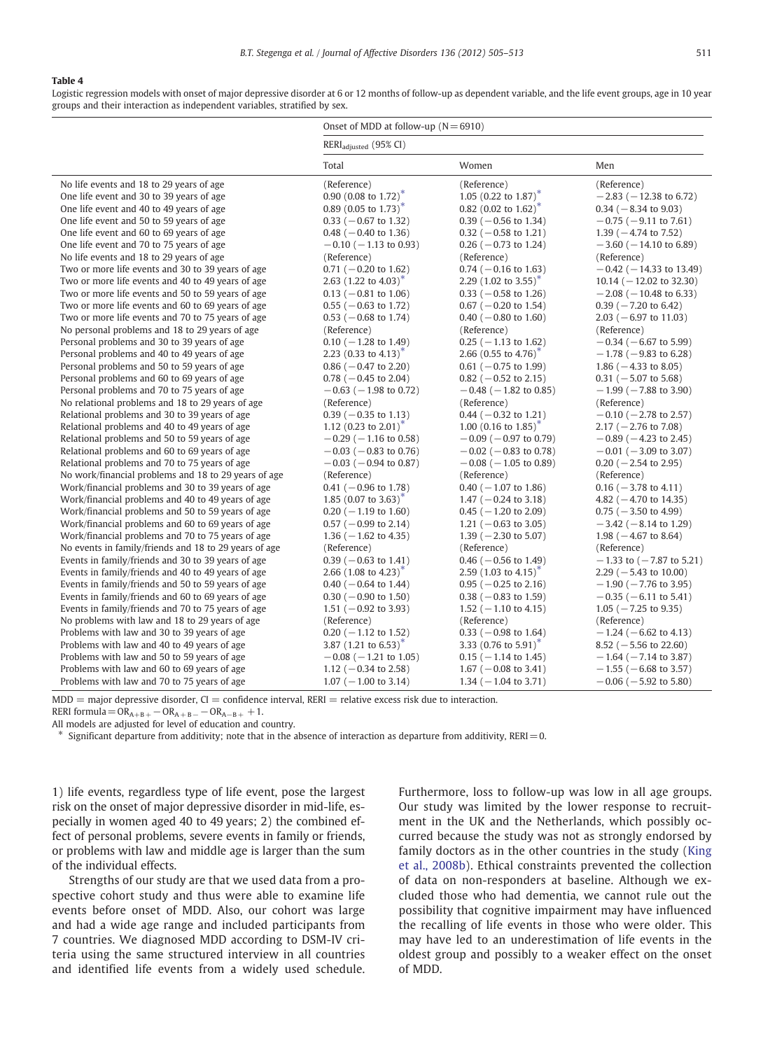#### <span id="page-6-0"></span>Table 4

Logistic regression models with onset of major depressive disorder at 6 or 12 months of follow-up as dependent variable, and the life event groups, age in 10 year groups and their interaction as independent variables, stratified by sex.

| RERI <sub>adiusted</sub> (95% CI)<br>Total<br>Women<br>Men<br>(Reference)<br>(Reference)<br>No life events and 18 to 29 years of age<br>(Reference)<br>0.90 (0.08 to 1.72) <sup>*</sup><br>1.05 (0.22 to 1.87) <sup>*</sup><br>One life event and 30 to 39 years of age<br>$-2.83$ ( $-12.38$ to 6.72)<br>0.89 (0.05 to 1.73) <sup>*</sup><br>0.82 (0.02 to 1.62) <sup>*</sup><br>One life event and 40 to 49 years of age<br>$0.34$ ( $-8.34$ to 9.03)<br>One life event and 50 to 59 years of age<br>$0.33$ (-0.67 to 1.32)<br>$0.39$ ( $-0.56$ to 1.34)<br>$-0.75$ ( $-9.11$ to 7.61)<br>One life event and 60 to 69 years of age<br>1.39 ( $-4.74$ to 7.52)<br>$0.48$ ( $-0.40$ to 1.36)<br>$0.32$ (-0.58 to 1.21)<br>One life event and 70 to 75 years of age<br>$0.26$ ( $-0.73$ to 1.24)<br>$-0.10$ ( $-1.13$ to 0.93)<br>$-3.60$ ( $-14.10$ to 6.89)<br>No life events and 18 to 29 years of age<br>(Reference)<br>(Reference)<br>(Reference)<br>Two or more life events and 30 to 39 years of age<br>$0.74$ (-0.16 to 1.63)<br>$0.71$ (-0.20 to 1.62)<br>$-0.42$ ( $-14.33$ to 13.49)<br>2.63 $(1.22 \text{ to } 4.03)^{\text{T}}$<br>Two or more life events and 40 to 49 years of age<br>2.29 $(1.02 \text{ to } 3.55)^{n}$<br>10.14 ( $-12.02$ to 32.30)<br>Two or more life events and 50 to 59 years of age<br>$0.13$ (-0.81 to 1.06)<br>$0.33$ ( $-0.58$ to 1.26)<br>$-2.08$ ( $-10.48$ to 6.33)<br>Two or more life events and 60 to 69 years of age<br>$0.67$ (-0.20 to 1.54)<br>$0.39$ ( $-7.20$ to 6.42)<br>$0.55$ ( $-0.63$ to 1.72)<br>Two or more life events and 70 to 75 years of age<br>$0.53$ ( $-0.68$ to 1.74)<br>$0.40$ ( $-0.80$ to 1.60)<br>$2.03$ (-6.97 to 11.03)<br>No personal problems and 18 to 29 years of age.<br>(Reference)<br>(Reference)<br>(Reference)<br>Personal problems and 30 to 39 years of age<br>$0.10$ ( $-1.28$ to 1.49)<br>$0.25$ ( $-1.13$ to 1.62)<br>$-0.34$ ( $-6.67$ to 5.99)<br>2.23 (0.33 to 4.13) <sup>*</sup><br>2.66 (0.55 to 4.76) <sup>*</sup><br>Personal problems and 40 to 49 years of age<br>$-1.78$ ( $-9.83$ to 6.28)<br>Personal problems and 50 to 59 years of age<br>$0.86$ ( $-0.47$ to 2.20)<br>$0.61$ (-0.75 to 1.99)<br>1.86 ( $-4.33$ to 8.05)<br>Personal problems and 60 to 69 years of age<br>$0.78$ ( $-0.45$ to 2.04)<br>$0.82$ (-0.52 to 2.15)<br>$0.31$ (-5.07 to 5.68)<br>Personal problems and 70 to 75 years of age<br>$-0.63$ ( $-1.98$ to 0.72)<br>$-0.48$ ( $-1.82$ to 0.85)<br>$-1.99$ ( $-7.88$ to 3.90)<br>No relational problems and 18 to 29 years of age<br>(Reference)<br>(Reference)<br>(Reference)<br>Relational problems and 30 to 39 years of age<br>$0.39$ ( $-0.35$ to 1.13)<br>$0.44$ ( $-0.32$ to 1.21)<br>$-0.10$ ( $-2.78$ to 2.57)<br>Relational problems and 40 to 49 years of age<br>1.12 $(0.23 \text{ to } 2.01)^{n}$<br>1.00 $(0.16 \text{ to } 1.85)^{n}$<br>$2.17 (-2.76 \text{ to } 7.08)$<br>Relational problems and 50 to 59 years of age<br>$-0.29$ ( $-1.16$ to 0.58)<br>$-0.09$ ( $-0.97$ to 0.79)<br>$-0.89$ ( $-4.23$ to 2.45)<br>Relational problems and 60 to 69 years of age<br>$-0.03$ ( $-0.83$ to 0.76)<br>$-0.02$ ( $-0.83$ to 0.78)<br>$-0.01$ ( $-3.09$ to 3.07)<br>Relational problems and 70 to 75 years of age<br>$-0.03$ ( $-0.94$ to 0.87)<br>$-0.08$ ( $-1.05$ to 0.89)<br>$0.20$ ( $-2.54$ to 2.95)<br>No work/financial problems and 18 to 29 years of age<br>(Reference)<br>(Reference)<br>(Reference)<br>$0.41$ (-0.96 to 1.78)<br>Work/financial problems and 30 to 39 years of age<br>$0.40$ ( $-1.07$ to 1.86)<br>$0.16$ ( $-3.78$ to 4.11)<br>Work/financial problems and 40 to 49 years of age<br>1.85 $(0.07 \text{ to } 3.63)^{n}$<br>$1.47$ ( $-0.24$ to 3.18)<br>4.82 ( $-4.70$ to 14.35)<br>Work/financial problems and 50 to 59 years of age<br>$0.20$ ( $-1.19$ to 1.60)<br>$0.45$ ( $-1.20$ to 2.09)<br>$0.75$ ( $-3.50$ to 4.99)<br>Work/financial problems and 60 to 69 years of age<br>$0.57$ ( $-0.99$ to 2.14)<br>1.21 ( $-0.63$ to 3.05)<br>$-3.42$ ( $-8.14$ to 1.29)<br>Work/financial problems and 70 to 75 years of age<br>1.36 ( $-1.62$ to 4.35)<br>1.39 ( $-2.30$ to 5.07)<br>1.98 ( $-4.67$ to 8.64)<br>No events in family/friends and 18 to 29 years of age<br>(Reference)<br>(Reference)<br>(Reference)<br>Events in family/friends and 30 to 39 years of age<br>$0.39$ ( $-0.63$ to 1.41)<br>$0.46$ ( $-0.56$ to 1.49)<br>$-1.33$ to ( $-7.87$ to 5.21)<br>Events in family/friends and 40 to 49 years of age<br>2.66 $(1.08 \text{ to } 4.23)^{*}$<br>2.59 $(1.03 \text{ to } 4.15)^{\text{T}}$<br>$2.29$ ( $-5.43$ to 10.00)<br>Events in family/friends and 50 to 59 years of age<br>$0.40$ ( $-0.64$ to 1.44)<br>$0.95$ ( $-0.25$ to 2.16)<br>$-1.90$ ( $-7.76$ to 3.95)<br>Events in family/friends and 60 to 69 years of age<br>$0.38$ ( $-0.83$ to 1.59)<br>$0.30$ ( $-0.90$ to 1.50)<br>$-0.35$ ( $-6.11$ to 5.41)<br>Events in family/friends and 70 to 75 years of age<br>1.51 ( $-0.92$ to 3.93)<br>1.52 ( $-1.10$ to 4.15)<br>$1.05$ ( $-7.25$ to 9.35)<br>No problems with law and 18 to 29 years of age.<br>(Reference)<br>(Reference)<br>(Reference)<br>Problems with law and 30 to 39 years of age<br>$0.20$ ( $-1.12$ to 1.52)<br>$0.33$ ( $-0.98$ to 1.64)<br>$-1.24$ ( $-6.62$ to 4.13)<br>3.87 $(1.21 \text{ to } 6.53)^*$<br>3.33 $(0.76 \text{ to } 5.91)^*$<br>Problems with law and 40 to 49 years of age<br>8.52 ( $-5.56$ to 22.60)<br>Problems with law and 50 to 59 years of age<br>$-0.08$ ( $-1.21$ to 1.05)<br>$0.15$ ( $-1.14$ to 1.45)<br>$-1.64$ ( $-7.14$ to 3.87)<br>Problems with law and 60 to 69 years of age<br>1.12 ( $-0.34$ to 2.58)<br>$1.67$ ( $-0.08$ to 3.41)<br>$-1.55$ ( $-6.68$ to 3.57)<br>Problems with law and 70 to 75 years of age<br>$1.07$ (-1.00 to 3.14)<br>1.34 ( $-1.04$ to 3.71)<br>$-0.06$ ( $-5.92$ to 5.80) | Onset of MDD at follow-up $(N = 6910)$ |  |  |
|---------------------------------------------------------------------------------------------------------------------------------------------------------------------------------------------------------------------------------------------------------------------------------------------------------------------------------------------------------------------------------------------------------------------------------------------------------------------------------------------------------------------------------------------------------------------------------------------------------------------------------------------------------------------------------------------------------------------------------------------------------------------------------------------------------------------------------------------------------------------------------------------------------------------------------------------------------------------------------------------------------------------------------------------------------------------------------------------------------------------------------------------------------------------------------------------------------------------------------------------------------------------------------------------------------------------------------------------------------------------------------------------------------------------------------------------------------------------------------------------------------------------------------------------------------------------------------------------------------------------------------------------------------------------------------------------------------------------------------------------------------------------------------------------------------------------------------------------------------------------------------------------------------------------------------------------------------------------------------------------------------------------------------------------------------------------------------------------------------------------------------------------------------------------------------------------------------------------------------------------------------------------------------------------------------------------------------------------------------------------------------------------------------------------------------------------------------------------------------------------------------------------------------------------------------------------------------------------------------------------------------------------------------------------------------------------------------------------------------------------------------------------------------------------------------------------------------------------------------------------------------------------------------------------------------------------------------------------------------------------------------------------------------------------------------------------------------------------------------------------------------------------------------------------------------------------------------------------------------------------------------------------------------------------------------------------------------------------------------------------------------------------------------------------------------------------------------------------------------------------------------------------------------------------------------------------------------------------------------------------------------------------------------------------------------------------------------------------------------------------------------------------------------------------------------------------------------------------------------------------------------------------------------------------------------------------------------------------------------------------------------------------------------------------------------------------------------------------------------------------------------------------------------------------------------------------------------------------------------------------------------------------------------------------------------------------------------------------------------------------------------------------------------------------------------------------------------------------------------------------------------------------------------------------------------------------------------------------------------------------------------------------------------------------------------------------------------------------------------------------------------------------------------------------------------------------------------------------------------------------------------------------------------------------------------------------------------------------------------------------------------------------------------------------------------------------------------------------------------------------------------------------------------------------------------------------------------------------------------------------------------------------------------------------------------------------------------------------------------------------------------------------------------------------------------------------------------------------------------------------------------------------------------------------------------------------------------------------------------------------------------------------------------------------------------------------------------------------------------------------------------------------------------------------------------------------------------------------------------------|----------------------------------------|--|--|
|                                                                                                                                                                                                                                                                                                                                                                                                                                                                                                                                                                                                                                                                                                                                                                                                                                                                                                                                                                                                                                                                                                                                                                                                                                                                                                                                                                                                                                                                                                                                                                                                                                                                                                                                                                                                                                                                                                                                                                                                                                                                                                                                                                                                                                                                                                                                                                                                                                                                                                                                                                                                                                                                                                                                                                                                                                                                                                                                                                                                                                                                                                                                                                                                                                                                                                                                                                                                                                                                                                                                                                                                                                                                                                                                                                                                                                                                                                                                                                                                                                                                                                                                                                                                                                                                                                                                                                                                                                                                                                                                                                                                                                                                                                                                                                                                                                                                                                                                                                                                                                                                                                                                                                                                                                                                                                                                                                                                                                                                                                                                                                                                                                                                                                                                                                                                                                                               |                                        |  |  |
|                                                                                                                                                                                                                                                                                                                                                                                                                                                                                                                                                                                                                                                                                                                                                                                                                                                                                                                                                                                                                                                                                                                                                                                                                                                                                                                                                                                                                                                                                                                                                                                                                                                                                                                                                                                                                                                                                                                                                                                                                                                                                                                                                                                                                                                                                                                                                                                                                                                                                                                                                                                                                                                                                                                                                                                                                                                                                                                                                                                                                                                                                                                                                                                                                                                                                                                                                                                                                                                                                                                                                                                                                                                                                                                                                                                                                                                                                                                                                                                                                                                                                                                                                                                                                                                                                                                                                                                                                                                                                                                                                                                                                                                                                                                                                                                                                                                                                                                                                                                                                                                                                                                                                                                                                                                                                                                                                                                                                                                                                                                                                                                                                                                                                                                                                                                                                                                               |                                        |  |  |
|                                                                                                                                                                                                                                                                                                                                                                                                                                                                                                                                                                                                                                                                                                                                                                                                                                                                                                                                                                                                                                                                                                                                                                                                                                                                                                                                                                                                                                                                                                                                                                                                                                                                                                                                                                                                                                                                                                                                                                                                                                                                                                                                                                                                                                                                                                                                                                                                                                                                                                                                                                                                                                                                                                                                                                                                                                                                                                                                                                                                                                                                                                                                                                                                                                                                                                                                                                                                                                                                                                                                                                                                                                                                                                                                                                                                                                                                                                                                                                                                                                                                                                                                                                                                                                                                                                                                                                                                                                                                                                                                                                                                                                                                                                                                                                                                                                                                                                                                                                                                                                                                                                                                                                                                                                                                                                                                                                                                                                                                                                                                                                                                                                                                                                                                                                                                                                                               |                                        |  |  |
|                                                                                                                                                                                                                                                                                                                                                                                                                                                                                                                                                                                                                                                                                                                                                                                                                                                                                                                                                                                                                                                                                                                                                                                                                                                                                                                                                                                                                                                                                                                                                                                                                                                                                                                                                                                                                                                                                                                                                                                                                                                                                                                                                                                                                                                                                                                                                                                                                                                                                                                                                                                                                                                                                                                                                                                                                                                                                                                                                                                                                                                                                                                                                                                                                                                                                                                                                                                                                                                                                                                                                                                                                                                                                                                                                                                                                                                                                                                                                                                                                                                                                                                                                                                                                                                                                                                                                                                                                                                                                                                                                                                                                                                                                                                                                                                                                                                                                                                                                                                                                                                                                                                                                                                                                                                                                                                                                                                                                                                                                                                                                                                                                                                                                                                                                                                                                                                               |                                        |  |  |
|                                                                                                                                                                                                                                                                                                                                                                                                                                                                                                                                                                                                                                                                                                                                                                                                                                                                                                                                                                                                                                                                                                                                                                                                                                                                                                                                                                                                                                                                                                                                                                                                                                                                                                                                                                                                                                                                                                                                                                                                                                                                                                                                                                                                                                                                                                                                                                                                                                                                                                                                                                                                                                                                                                                                                                                                                                                                                                                                                                                                                                                                                                                                                                                                                                                                                                                                                                                                                                                                                                                                                                                                                                                                                                                                                                                                                                                                                                                                                                                                                                                                                                                                                                                                                                                                                                                                                                                                                                                                                                                                                                                                                                                                                                                                                                                                                                                                                                                                                                                                                                                                                                                                                                                                                                                                                                                                                                                                                                                                                                                                                                                                                                                                                                                                                                                                                                                               |                                        |  |  |
|                                                                                                                                                                                                                                                                                                                                                                                                                                                                                                                                                                                                                                                                                                                                                                                                                                                                                                                                                                                                                                                                                                                                                                                                                                                                                                                                                                                                                                                                                                                                                                                                                                                                                                                                                                                                                                                                                                                                                                                                                                                                                                                                                                                                                                                                                                                                                                                                                                                                                                                                                                                                                                                                                                                                                                                                                                                                                                                                                                                                                                                                                                                                                                                                                                                                                                                                                                                                                                                                                                                                                                                                                                                                                                                                                                                                                                                                                                                                                                                                                                                                                                                                                                                                                                                                                                                                                                                                                                                                                                                                                                                                                                                                                                                                                                                                                                                                                                                                                                                                                                                                                                                                                                                                                                                                                                                                                                                                                                                                                                                                                                                                                                                                                                                                                                                                                                                               |                                        |  |  |
|                                                                                                                                                                                                                                                                                                                                                                                                                                                                                                                                                                                                                                                                                                                                                                                                                                                                                                                                                                                                                                                                                                                                                                                                                                                                                                                                                                                                                                                                                                                                                                                                                                                                                                                                                                                                                                                                                                                                                                                                                                                                                                                                                                                                                                                                                                                                                                                                                                                                                                                                                                                                                                                                                                                                                                                                                                                                                                                                                                                                                                                                                                                                                                                                                                                                                                                                                                                                                                                                                                                                                                                                                                                                                                                                                                                                                                                                                                                                                                                                                                                                                                                                                                                                                                                                                                                                                                                                                                                                                                                                                                                                                                                                                                                                                                                                                                                                                                                                                                                                                                                                                                                                                                                                                                                                                                                                                                                                                                                                                                                                                                                                                                                                                                                                                                                                                                                               |                                        |  |  |
|                                                                                                                                                                                                                                                                                                                                                                                                                                                                                                                                                                                                                                                                                                                                                                                                                                                                                                                                                                                                                                                                                                                                                                                                                                                                                                                                                                                                                                                                                                                                                                                                                                                                                                                                                                                                                                                                                                                                                                                                                                                                                                                                                                                                                                                                                                                                                                                                                                                                                                                                                                                                                                                                                                                                                                                                                                                                                                                                                                                                                                                                                                                                                                                                                                                                                                                                                                                                                                                                                                                                                                                                                                                                                                                                                                                                                                                                                                                                                                                                                                                                                                                                                                                                                                                                                                                                                                                                                                                                                                                                                                                                                                                                                                                                                                                                                                                                                                                                                                                                                                                                                                                                                                                                                                                                                                                                                                                                                                                                                                                                                                                                                                                                                                                                                                                                                                                               |                                        |  |  |
|                                                                                                                                                                                                                                                                                                                                                                                                                                                                                                                                                                                                                                                                                                                                                                                                                                                                                                                                                                                                                                                                                                                                                                                                                                                                                                                                                                                                                                                                                                                                                                                                                                                                                                                                                                                                                                                                                                                                                                                                                                                                                                                                                                                                                                                                                                                                                                                                                                                                                                                                                                                                                                                                                                                                                                                                                                                                                                                                                                                                                                                                                                                                                                                                                                                                                                                                                                                                                                                                                                                                                                                                                                                                                                                                                                                                                                                                                                                                                                                                                                                                                                                                                                                                                                                                                                                                                                                                                                                                                                                                                                                                                                                                                                                                                                                                                                                                                                                                                                                                                                                                                                                                                                                                                                                                                                                                                                                                                                                                                                                                                                                                                                                                                                                                                                                                                                                               |                                        |  |  |
|                                                                                                                                                                                                                                                                                                                                                                                                                                                                                                                                                                                                                                                                                                                                                                                                                                                                                                                                                                                                                                                                                                                                                                                                                                                                                                                                                                                                                                                                                                                                                                                                                                                                                                                                                                                                                                                                                                                                                                                                                                                                                                                                                                                                                                                                                                                                                                                                                                                                                                                                                                                                                                                                                                                                                                                                                                                                                                                                                                                                                                                                                                                                                                                                                                                                                                                                                                                                                                                                                                                                                                                                                                                                                                                                                                                                                                                                                                                                                                                                                                                                                                                                                                                                                                                                                                                                                                                                                                                                                                                                                                                                                                                                                                                                                                                                                                                                                                                                                                                                                                                                                                                                                                                                                                                                                                                                                                                                                                                                                                                                                                                                                                                                                                                                                                                                                                                               |                                        |  |  |
|                                                                                                                                                                                                                                                                                                                                                                                                                                                                                                                                                                                                                                                                                                                                                                                                                                                                                                                                                                                                                                                                                                                                                                                                                                                                                                                                                                                                                                                                                                                                                                                                                                                                                                                                                                                                                                                                                                                                                                                                                                                                                                                                                                                                                                                                                                                                                                                                                                                                                                                                                                                                                                                                                                                                                                                                                                                                                                                                                                                                                                                                                                                                                                                                                                                                                                                                                                                                                                                                                                                                                                                                                                                                                                                                                                                                                                                                                                                                                                                                                                                                                                                                                                                                                                                                                                                                                                                                                                                                                                                                                                                                                                                                                                                                                                                                                                                                                                                                                                                                                                                                                                                                                                                                                                                                                                                                                                                                                                                                                                                                                                                                                                                                                                                                                                                                                                                               |                                        |  |  |
|                                                                                                                                                                                                                                                                                                                                                                                                                                                                                                                                                                                                                                                                                                                                                                                                                                                                                                                                                                                                                                                                                                                                                                                                                                                                                                                                                                                                                                                                                                                                                                                                                                                                                                                                                                                                                                                                                                                                                                                                                                                                                                                                                                                                                                                                                                                                                                                                                                                                                                                                                                                                                                                                                                                                                                                                                                                                                                                                                                                                                                                                                                                                                                                                                                                                                                                                                                                                                                                                                                                                                                                                                                                                                                                                                                                                                                                                                                                                                                                                                                                                                                                                                                                                                                                                                                                                                                                                                                                                                                                                                                                                                                                                                                                                                                                                                                                                                                                                                                                                                                                                                                                                                                                                                                                                                                                                                                                                                                                                                                                                                                                                                                                                                                                                                                                                                                                               |                                        |  |  |
|                                                                                                                                                                                                                                                                                                                                                                                                                                                                                                                                                                                                                                                                                                                                                                                                                                                                                                                                                                                                                                                                                                                                                                                                                                                                                                                                                                                                                                                                                                                                                                                                                                                                                                                                                                                                                                                                                                                                                                                                                                                                                                                                                                                                                                                                                                                                                                                                                                                                                                                                                                                                                                                                                                                                                                                                                                                                                                                                                                                                                                                                                                                                                                                                                                                                                                                                                                                                                                                                                                                                                                                                                                                                                                                                                                                                                                                                                                                                                                                                                                                                                                                                                                                                                                                                                                                                                                                                                                                                                                                                                                                                                                                                                                                                                                                                                                                                                                                                                                                                                                                                                                                                                                                                                                                                                                                                                                                                                                                                                                                                                                                                                                                                                                                                                                                                                                                               |                                        |  |  |
|                                                                                                                                                                                                                                                                                                                                                                                                                                                                                                                                                                                                                                                                                                                                                                                                                                                                                                                                                                                                                                                                                                                                                                                                                                                                                                                                                                                                                                                                                                                                                                                                                                                                                                                                                                                                                                                                                                                                                                                                                                                                                                                                                                                                                                                                                                                                                                                                                                                                                                                                                                                                                                                                                                                                                                                                                                                                                                                                                                                                                                                                                                                                                                                                                                                                                                                                                                                                                                                                                                                                                                                                                                                                                                                                                                                                                                                                                                                                                                                                                                                                                                                                                                                                                                                                                                                                                                                                                                                                                                                                                                                                                                                                                                                                                                                                                                                                                                                                                                                                                                                                                                                                                                                                                                                                                                                                                                                                                                                                                                                                                                                                                                                                                                                                                                                                                                                               |                                        |  |  |
|                                                                                                                                                                                                                                                                                                                                                                                                                                                                                                                                                                                                                                                                                                                                                                                                                                                                                                                                                                                                                                                                                                                                                                                                                                                                                                                                                                                                                                                                                                                                                                                                                                                                                                                                                                                                                                                                                                                                                                                                                                                                                                                                                                                                                                                                                                                                                                                                                                                                                                                                                                                                                                                                                                                                                                                                                                                                                                                                                                                                                                                                                                                                                                                                                                                                                                                                                                                                                                                                                                                                                                                                                                                                                                                                                                                                                                                                                                                                                                                                                                                                                                                                                                                                                                                                                                                                                                                                                                                                                                                                                                                                                                                                                                                                                                                                                                                                                                                                                                                                                                                                                                                                                                                                                                                                                                                                                                                                                                                                                                                                                                                                                                                                                                                                                                                                                                                               |                                        |  |  |
|                                                                                                                                                                                                                                                                                                                                                                                                                                                                                                                                                                                                                                                                                                                                                                                                                                                                                                                                                                                                                                                                                                                                                                                                                                                                                                                                                                                                                                                                                                                                                                                                                                                                                                                                                                                                                                                                                                                                                                                                                                                                                                                                                                                                                                                                                                                                                                                                                                                                                                                                                                                                                                                                                                                                                                                                                                                                                                                                                                                                                                                                                                                                                                                                                                                                                                                                                                                                                                                                                                                                                                                                                                                                                                                                                                                                                                                                                                                                                                                                                                                                                                                                                                                                                                                                                                                                                                                                                                                                                                                                                                                                                                                                                                                                                                                                                                                                                                                                                                                                                                                                                                                                                                                                                                                                                                                                                                                                                                                                                                                                                                                                                                                                                                                                                                                                                                                               |                                        |  |  |
|                                                                                                                                                                                                                                                                                                                                                                                                                                                                                                                                                                                                                                                                                                                                                                                                                                                                                                                                                                                                                                                                                                                                                                                                                                                                                                                                                                                                                                                                                                                                                                                                                                                                                                                                                                                                                                                                                                                                                                                                                                                                                                                                                                                                                                                                                                                                                                                                                                                                                                                                                                                                                                                                                                                                                                                                                                                                                                                                                                                                                                                                                                                                                                                                                                                                                                                                                                                                                                                                                                                                                                                                                                                                                                                                                                                                                                                                                                                                                                                                                                                                                                                                                                                                                                                                                                                                                                                                                                                                                                                                                                                                                                                                                                                                                                                                                                                                                                                                                                                                                                                                                                                                                                                                                                                                                                                                                                                                                                                                                                                                                                                                                                                                                                                                                                                                                                                               |                                        |  |  |
|                                                                                                                                                                                                                                                                                                                                                                                                                                                                                                                                                                                                                                                                                                                                                                                                                                                                                                                                                                                                                                                                                                                                                                                                                                                                                                                                                                                                                                                                                                                                                                                                                                                                                                                                                                                                                                                                                                                                                                                                                                                                                                                                                                                                                                                                                                                                                                                                                                                                                                                                                                                                                                                                                                                                                                                                                                                                                                                                                                                                                                                                                                                                                                                                                                                                                                                                                                                                                                                                                                                                                                                                                                                                                                                                                                                                                                                                                                                                                                                                                                                                                                                                                                                                                                                                                                                                                                                                                                                                                                                                                                                                                                                                                                                                                                                                                                                                                                                                                                                                                                                                                                                                                                                                                                                                                                                                                                                                                                                                                                                                                                                                                                                                                                                                                                                                                                                               |                                        |  |  |
|                                                                                                                                                                                                                                                                                                                                                                                                                                                                                                                                                                                                                                                                                                                                                                                                                                                                                                                                                                                                                                                                                                                                                                                                                                                                                                                                                                                                                                                                                                                                                                                                                                                                                                                                                                                                                                                                                                                                                                                                                                                                                                                                                                                                                                                                                                                                                                                                                                                                                                                                                                                                                                                                                                                                                                                                                                                                                                                                                                                                                                                                                                                                                                                                                                                                                                                                                                                                                                                                                                                                                                                                                                                                                                                                                                                                                                                                                                                                                                                                                                                                                                                                                                                                                                                                                                                                                                                                                                                                                                                                                                                                                                                                                                                                                                                                                                                                                                                                                                                                                                                                                                                                                                                                                                                                                                                                                                                                                                                                                                                                                                                                                                                                                                                                                                                                                                                               |                                        |  |  |
|                                                                                                                                                                                                                                                                                                                                                                                                                                                                                                                                                                                                                                                                                                                                                                                                                                                                                                                                                                                                                                                                                                                                                                                                                                                                                                                                                                                                                                                                                                                                                                                                                                                                                                                                                                                                                                                                                                                                                                                                                                                                                                                                                                                                                                                                                                                                                                                                                                                                                                                                                                                                                                                                                                                                                                                                                                                                                                                                                                                                                                                                                                                                                                                                                                                                                                                                                                                                                                                                                                                                                                                                                                                                                                                                                                                                                                                                                                                                                                                                                                                                                                                                                                                                                                                                                                                                                                                                                                                                                                                                                                                                                                                                                                                                                                                                                                                                                                                                                                                                                                                                                                                                                                                                                                                                                                                                                                                                                                                                                                                                                                                                                                                                                                                                                                                                                                                               |                                        |  |  |
|                                                                                                                                                                                                                                                                                                                                                                                                                                                                                                                                                                                                                                                                                                                                                                                                                                                                                                                                                                                                                                                                                                                                                                                                                                                                                                                                                                                                                                                                                                                                                                                                                                                                                                                                                                                                                                                                                                                                                                                                                                                                                                                                                                                                                                                                                                                                                                                                                                                                                                                                                                                                                                                                                                                                                                                                                                                                                                                                                                                                                                                                                                                                                                                                                                                                                                                                                                                                                                                                                                                                                                                                                                                                                                                                                                                                                                                                                                                                                                                                                                                                                                                                                                                                                                                                                                                                                                                                                                                                                                                                                                                                                                                                                                                                                                                                                                                                                                                                                                                                                                                                                                                                                                                                                                                                                                                                                                                                                                                                                                                                                                                                                                                                                                                                                                                                                                                               |                                        |  |  |
|                                                                                                                                                                                                                                                                                                                                                                                                                                                                                                                                                                                                                                                                                                                                                                                                                                                                                                                                                                                                                                                                                                                                                                                                                                                                                                                                                                                                                                                                                                                                                                                                                                                                                                                                                                                                                                                                                                                                                                                                                                                                                                                                                                                                                                                                                                                                                                                                                                                                                                                                                                                                                                                                                                                                                                                                                                                                                                                                                                                                                                                                                                                                                                                                                                                                                                                                                                                                                                                                                                                                                                                                                                                                                                                                                                                                                                                                                                                                                                                                                                                                                                                                                                                                                                                                                                                                                                                                                                                                                                                                                                                                                                                                                                                                                                                                                                                                                                                                                                                                                                                                                                                                                                                                                                                                                                                                                                                                                                                                                                                                                                                                                                                                                                                                                                                                                                                               |                                        |  |  |
|                                                                                                                                                                                                                                                                                                                                                                                                                                                                                                                                                                                                                                                                                                                                                                                                                                                                                                                                                                                                                                                                                                                                                                                                                                                                                                                                                                                                                                                                                                                                                                                                                                                                                                                                                                                                                                                                                                                                                                                                                                                                                                                                                                                                                                                                                                                                                                                                                                                                                                                                                                                                                                                                                                                                                                                                                                                                                                                                                                                                                                                                                                                                                                                                                                                                                                                                                                                                                                                                                                                                                                                                                                                                                                                                                                                                                                                                                                                                                                                                                                                                                                                                                                                                                                                                                                                                                                                                                                                                                                                                                                                                                                                                                                                                                                                                                                                                                                                                                                                                                                                                                                                                                                                                                                                                                                                                                                                                                                                                                                                                                                                                                                                                                                                                                                                                                                                               |                                        |  |  |
|                                                                                                                                                                                                                                                                                                                                                                                                                                                                                                                                                                                                                                                                                                                                                                                                                                                                                                                                                                                                                                                                                                                                                                                                                                                                                                                                                                                                                                                                                                                                                                                                                                                                                                                                                                                                                                                                                                                                                                                                                                                                                                                                                                                                                                                                                                                                                                                                                                                                                                                                                                                                                                                                                                                                                                                                                                                                                                                                                                                                                                                                                                                                                                                                                                                                                                                                                                                                                                                                                                                                                                                                                                                                                                                                                                                                                                                                                                                                                                                                                                                                                                                                                                                                                                                                                                                                                                                                                                                                                                                                                                                                                                                                                                                                                                                                                                                                                                                                                                                                                                                                                                                                                                                                                                                                                                                                                                                                                                                                                                                                                                                                                                                                                                                                                                                                                                                               |                                        |  |  |
|                                                                                                                                                                                                                                                                                                                                                                                                                                                                                                                                                                                                                                                                                                                                                                                                                                                                                                                                                                                                                                                                                                                                                                                                                                                                                                                                                                                                                                                                                                                                                                                                                                                                                                                                                                                                                                                                                                                                                                                                                                                                                                                                                                                                                                                                                                                                                                                                                                                                                                                                                                                                                                                                                                                                                                                                                                                                                                                                                                                                                                                                                                                                                                                                                                                                                                                                                                                                                                                                                                                                                                                                                                                                                                                                                                                                                                                                                                                                                                                                                                                                                                                                                                                                                                                                                                                                                                                                                                                                                                                                                                                                                                                                                                                                                                                                                                                                                                                                                                                                                                                                                                                                                                                                                                                                                                                                                                                                                                                                                                                                                                                                                                                                                                                                                                                                                                                               |                                        |  |  |
|                                                                                                                                                                                                                                                                                                                                                                                                                                                                                                                                                                                                                                                                                                                                                                                                                                                                                                                                                                                                                                                                                                                                                                                                                                                                                                                                                                                                                                                                                                                                                                                                                                                                                                                                                                                                                                                                                                                                                                                                                                                                                                                                                                                                                                                                                                                                                                                                                                                                                                                                                                                                                                                                                                                                                                                                                                                                                                                                                                                                                                                                                                                                                                                                                                                                                                                                                                                                                                                                                                                                                                                                                                                                                                                                                                                                                                                                                                                                                                                                                                                                                                                                                                                                                                                                                                                                                                                                                                                                                                                                                                                                                                                                                                                                                                                                                                                                                                                                                                                                                                                                                                                                                                                                                                                                                                                                                                                                                                                                                                                                                                                                                                                                                                                                                                                                                                                               |                                        |  |  |
|                                                                                                                                                                                                                                                                                                                                                                                                                                                                                                                                                                                                                                                                                                                                                                                                                                                                                                                                                                                                                                                                                                                                                                                                                                                                                                                                                                                                                                                                                                                                                                                                                                                                                                                                                                                                                                                                                                                                                                                                                                                                                                                                                                                                                                                                                                                                                                                                                                                                                                                                                                                                                                                                                                                                                                                                                                                                                                                                                                                                                                                                                                                                                                                                                                                                                                                                                                                                                                                                                                                                                                                                                                                                                                                                                                                                                                                                                                                                                                                                                                                                                                                                                                                                                                                                                                                                                                                                                                                                                                                                                                                                                                                                                                                                                                                                                                                                                                                                                                                                                                                                                                                                                                                                                                                                                                                                                                                                                                                                                                                                                                                                                                                                                                                                                                                                                                                               |                                        |  |  |
|                                                                                                                                                                                                                                                                                                                                                                                                                                                                                                                                                                                                                                                                                                                                                                                                                                                                                                                                                                                                                                                                                                                                                                                                                                                                                                                                                                                                                                                                                                                                                                                                                                                                                                                                                                                                                                                                                                                                                                                                                                                                                                                                                                                                                                                                                                                                                                                                                                                                                                                                                                                                                                                                                                                                                                                                                                                                                                                                                                                                                                                                                                                                                                                                                                                                                                                                                                                                                                                                                                                                                                                                                                                                                                                                                                                                                                                                                                                                                                                                                                                                                                                                                                                                                                                                                                                                                                                                                                                                                                                                                                                                                                                                                                                                                                                                                                                                                                                                                                                                                                                                                                                                                                                                                                                                                                                                                                                                                                                                                                                                                                                                                                                                                                                                                                                                                                                               |                                        |  |  |
|                                                                                                                                                                                                                                                                                                                                                                                                                                                                                                                                                                                                                                                                                                                                                                                                                                                                                                                                                                                                                                                                                                                                                                                                                                                                                                                                                                                                                                                                                                                                                                                                                                                                                                                                                                                                                                                                                                                                                                                                                                                                                                                                                                                                                                                                                                                                                                                                                                                                                                                                                                                                                                                                                                                                                                                                                                                                                                                                                                                                                                                                                                                                                                                                                                                                                                                                                                                                                                                                                                                                                                                                                                                                                                                                                                                                                                                                                                                                                                                                                                                                                                                                                                                                                                                                                                                                                                                                                                                                                                                                                                                                                                                                                                                                                                                                                                                                                                                                                                                                                                                                                                                                                                                                                                                                                                                                                                                                                                                                                                                                                                                                                                                                                                                                                                                                                                                               |                                        |  |  |
|                                                                                                                                                                                                                                                                                                                                                                                                                                                                                                                                                                                                                                                                                                                                                                                                                                                                                                                                                                                                                                                                                                                                                                                                                                                                                                                                                                                                                                                                                                                                                                                                                                                                                                                                                                                                                                                                                                                                                                                                                                                                                                                                                                                                                                                                                                                                                                                                                                                                                                                                                                                                                                                                                                                                                                                                                                                                                                                                                                                                                                                                                                                                                                                                                                                                                                                                                                                                                                                                                                                                                                                                                                                                                                                                                                                                                                                                                                                                                                                                                                                                                                                                                                                                                                                                                                                                                                                                                                                                                                                                                                                                                                                                                                                                                                                                                                                                                                                                                                                                                                                                                                                                                                                                                                                                                                                                                                                                                                                                                                                                                                                                                                                                                                                                                                                                                                                               |                                        |  |  |
|                                                                                                                                                                                                                                                                                                                                                                                                                                                                                                                                                                                                                                                                                                                                                                                                                                                                                                                                                                                                                                                                                                                                                                                                                                                                                                                                                                                                                                                                                                                                                                                                                                                                                                                                                                                                                                                                                                                                                                                                                                                                                                                                                                                                                                                                                                                                                                                                                                                                                                                                                                                                                                                                                                                                                                                                                                                                                                                                                                                                                                                                                                                                                                                                                                                                                                                                                                                                                                                                                                                                                                                                                                                                                                                                                                                                                                                                                                                                                                                                                                                                                                                                                                                                                                                                                                                                                                                                                                                                                                                                                                                                                                                                                                                                                                                                                                                                                                                                                                                                                                                                                                                                                                                                                                                                                                                                                                                                                                                                                                                                                                                                                                                                                                                                                                                                                                                               |                                        |  |  |
|                                                                                                                                                                                                                                                                                                                                                                                                                                                                                                                                                                                                                                                                                                                                                                                                                                                                                                                                                                                                                                                                                                                                                                                                                                                                                                                                                                                                                                                                                                                                                                                                                                                                                                                                                                                                                                                                                                                                                                                                                                                                                                                                                                                                                                                                                                                                                                                                                                                                                                                                                                                                                                                                                                                                                                                                                                                                                                                                                                                                                                                                                                                                                                                                                                                                                                                                                                                                                                                                                                                                                                                                                                                                                                                                                                                                                                                                                                                                                                                                                                                                                                                                                                                                                                                                                                                                                                                                                                                                                                                                                                                                                                                                                                                                                                                                                                                                                                                                                                                                                                                                                                                                                                                                                                                                                                                                                                                                                                                                                                                                                                                                                                                                                                                                                                                                                                                               |                                        |  |  |
|                                                                                                                                                                                                                                                                                                                                                                                                                                                                                                                                                                                                                                                                                                                                                                                                                                                                                                                                                                                                                                                                                                                                                                                                                                                                                                                                                                                                                                                                                                                                                                                                                                                                                                                                                                                                                                                                                                                                                                                                                                                                                                                                                                                                                                                                                                                                                                                                                                                                                                                                                                                                                                                                                                                                                                                                                                                                                                                                                                                                                                                                                                                                                                                                                                                                                                                                                                                                                                                                                                                                                                                                                                                                                                                                                                                                                                                                                                                                                                                                                                                                                                                                                                                                                                                                                                                                                                                                                                                                                                                                                                                                                                                                                                                                                                                                                                                                                                                                                                                                                                                                                                                                                                                                                                                                                                                                                                                                                                                                                                                                                                                                                                                                                                                                                                                                                                                               |                                        |  |  |
|                                                                                                                                                                                                                                                                                                                                                                                                                                                                                                                                                                                                                                                                                                                                                                                                                                                                                                                                                                                                                                                                                                                                                                                                                                                                                                                                                                                                                                                                                                                                                                                                                                                                                                                                                                                                                                                                                                                                                                                                                                                                                                                                                                                                                                                                                                                                                                                                                                                                                                                                                                                                                                                                                                                                                                                                                                                                                                                                                                                                                                                                                                                                                                                                                                                                                                                                                                                                                                                                                                                                                                                                                                                                                                                                                                                                                                                                                                                                                                                                                                                                                                                                                                                                                                                                                                                                                                                                                                                                                                                                                                                                                                                                                                                                                                                                                                                                                                                                                                                                                                                                                                                                                                                                                                                                                                                                                                                                                                                                                                                                                                                                                                                                                                                                                                                                                                                               |                                        |  |  |
|                                                                                                                                                                                                                                                                                                                                                                                                                                                                                                                                                                                                                                                                                                                                                                                                                                                                                                                                                                                                                                                                                                                                                                                                                                                                                                                                                                                                                                                                                                                                                                                                                                                                                                                                                                                                                                                                                                                                                                                                                                                                                                                                                                                                                                                                                                                                                                                                                                                                                                                                                                                                                                                                                                                                                                                                                                                                                                                                                                                                                                                                                                                                                                                                                                                                                                                                                                                                                                                                                                                                                                                                                                                                                                                                                                                                                                                                                                                                                                                                                                                                                                                                                                                                                                                                                                                                                                                                                                                                                                                                                                                                                                                                                                                                                                                                                                                                                                                                                                                                                                                                                                                                                                                                                                                                                                                                                                                                                                                                                                                                                                                                                                                                                                                                                                                                                                                               |                                        |  |  |
|                                                                                                                                                                                                                                                                                                                                                                                                                                                                                                                                                                                                                                                                                                                                                                                                                                                                                                                                                                                                                                                                                                                                                                                                                                                                                                                                                                                                                                                                                                                                                                                                                                                                                                                                                                                                                                                                                                                                                                                                                                                                                                                                                                                                                                                                                                                                                                                                                                                                                                                                                                                                                                                                                                                                                                                                                                                                                                                                                                                                                                                                                                                                                                                                                                                                                                                                                                                                                                                                                                                                                                                                                                                                                                                                                                                                                                                                                                                                                                                                                                                                                                                                                                                                                                                                                                                                                                                                                                                                                                                                                                                                                                                                                                                                                                                                                                                                                                                                                                                                                                                                                                                                                                                                                                                                                                                                                                                                                                                                                                                                                                                                                                                                                                                                                                                                                                                               |                                        |  |  |
|                                                                                                                                                                                                                                                                                                                                                                                                                                                                                                                                                                                                                                                                                                                                                                                                                                                                                                                                                                                                                                                                                                                                                                                                                                                                                                                                                                                                                                                                                                                                                                                                                                                                                                                                                                                                                                                                                                                                                                                                                                                                                                                                                                                                                                                                                                                                                                                                                                                                                                                                                                                                                                                                                                                                                                                                                                                                                                                                                                                                                                                                                                                                                                                                                                                                                                                                                                                                                                                                                                                                                                                                                                                                                                                                                                                                                                                                                                                                                                                                                                                                                                                                                                                                                                                                                                                                                                                                                                                                                                                                                                                                                                                                                                                                                                                                                                                                                                                                                                                                                                                                                                                                                                                                                                                                                                                                                                                                                                                                                                                                                                                                                                                                                                                                                                                                                                                               |                                        |  |  |
|                                                                                                                                                                                                                                                                                                                                                                                                                                                                                                                                                                                                                                                                                                                                                                                                                                                                                                                                                                                                                                                                                                                                                                                                                                                                                                                                                                                                                                                                                                                                                                                                                                                                                                                                                                                                                                                                                                                                                                                                                                                                                                                                                                                                                                                                                                                                                                                                                                                                                                                                                                                                                                                                                                                                                                                                                                                                                                                                                                                                                                                                                                                                                                                                                                                                                                                                                                                                                                                                                                                                                                                                                                                                                                                                                                                                                                                                                                                                                                                                                                                                                                                                                                                                                                                                                                                                                                                                                                                                                                                                                                                                                                                                                                                                                                                                                                                                                                                                                                                                                                                                                                                                                                                                                                                                                                                                                                                                                                                                                                                                                                                                                                                                                                                                                                                                                                                               |                                        |  |  |
|                                                                                                                                                                                                                                                                                                                                                                                                                                                                                                                                                                                                                                                                                                                                                                                                                                                                                                                                                                                                                                                                                                                                                                                                                                                                                                                                                                                                                                                                                                                                                                                                                                                                                                                                                                                                                                                                                                                                                                                                                                                                                                                                                                                                                                                                                                                                                                                                                                                                                                                                                                                                                                                                                                                                                                                                                                                                                                                                                                                                                                                                                                                                                                                                                                                                                                                                                                                                                                                                                                                                                                                                                                                                                                                                                                                                                                                                                                                                                                                                                                                                                                                                                                                                                                                                                                                                                                                                                                                                                                                                                                                                                                                                                                                                                                                                                                                                                                                                                                                                                                                                                                                                                                                                                                                                                                                                                                                                                                                                                                                                                                                                                                                                                                                                                                                                                                                               |                                        |  |  |
|                                                                                                                                                                                                                                                                                                                                                                                                                                                                                                                                                                                                                                                                                                                                                                                                                                                                                                                                                                                                                                                                                                                                                                                                                                                                                                                                                                                                                                                                                                                                                                                                                                                                                                                                                                                                                                                                                                                                                                                                                                                                                                                                                                                                                                                                                                                                                                                                                                                                                                                                                                                                                                                                                                                                                                                                                                                                                                                                                                                                                                                                                                                                                                                                                                                                                                                                                                                                                                                                                                                                                                                                                                                                                                                                                                                                                                                                                                                                                                                                                                                                                                                                                                                                                                                                                                                                                                                                                                                                                                                                                                                                                                                                                                                                                                                                                                                                                                                                                                                                                                                                                                                                                                                                                                                                                                                                                                                                                                                                                                                                                                                                                                                                                                                                                                                                                                                               |                                        |  |  |
|                                                                                                                                                                                                                                                                                                                                                                                                                                                                                                                                                                                                                                                                                                                                                                                                                                                                                                                                                                                                                                                                                                                                                                                                                                                                                                                                                                                                                                                                                                                                                                                                                                                                                                                                                                                                                                                                                                                                                                                                                                                                                                                                                                                                                                                                                                                                                                                                                                                                                                                                                                                                                                                                                                                                                                                                                                                                                                                                                                                                                                                                                                                                                                                                                                                                                                                                                                                                                                                                                                                                                                                                                                                                                                                                                                                                                                                                                                                                                                                                                                                                                                                                                                                                                                                                                                                                                                                                                                                                                                                                                                                                                                                                                                                                                                                                                                                                                                                                                                                                                                                                                                                                                                                                                                                                                                                                                                                                                                                                                                                                                                                                                                                                                                                                                                                                                                                               |                                        |  |  |
|                                                                                                                                                                                                                                                                                                                                                                                                                                                                                                                                                                                                                                                                                                                                                                                                                                                                                                                                                                                                                                                                                                                                                                                                                                                                                                                                                                                                                                                                                                                                                                                                                                                                                                                                                                                                                                                                                                                                                                                                                                                                                                                                                                                                                                                                                                                                                                                                                                                                                                                                                                                                                                                                                                                                                                                                                                                                                                                                                                                                                                                                                                                                                                                                                                                                                                                                                                                                                                                                                                                                                                                                                                                                                                                                                                                                                                                                                                                                                                                                                                                                                                                                                                                                                                                                                                                                                                                                                                                                                                                                                                                                                                                                                                                                                                                                                                                                                                                                                                                                                                                                                                                                                                                                                                                                                                                                                                                                                                                                                                                                                                                                                                                                                                                                                                                                                                                               |                                        |  |  |
|                                                                                                                                                                                                                                                                                                                                                                                                                                                                                                                                                                                                                                                                                                                                                                                                                                                                                                                                                                                                                                                                                                                                                                                                                                                                                                                                                                                                                                                                                                                                                                                                                                                                                                                                                                                                                                                                                                                                                                                                                                                                                                                                                                                                                                                                                                                                                                                                                                                                                                                                                                                                                                                                                                                                                                                                                                                                                                                                                                                                                                                                                                                                                                                                                                                                                                                                                                                                                                                                                                                                                                                                                                                                                                                                                                                                                                                                                                                                                                                                                                                                                                                                                                                                                                                                                                                                                                                                                                                                                                                                                                                                                                                                                                                                                                                                                                                                                                                                                                                                                                                                                                                                                                                                                                                                                                                                                                                                                                                                                                                                                                                                                                                                                                                                                                                                                                                               |                                        |  |  |
|                                                                                                                                                                                                                                                                                                                                                                                                                                                                                                                                                                                                                                                                                                                                                                                                                                                                                                                                                                                                                                                                                                                                                                                                                                                                                                                                                                                                                                                                                                                                                                                                                                                                                                                                                                                                                                                                                                                                                                                                                                                                                                                                                                                                                                                                                                                                                                                                                                                                                                                                                                                                                                                                                                                                                                                                                                                                                                                                                                                                                                                                                                                                                                                                                                                                                                                                                                                                                                                                                                                                                                                                                                                                                                                                                                                                                                                                                                                                                                                                                                                                                                                                                                                                                                                                                                                                                                                                                                                                                                                                                                                                                                                                                                                                                                                                                                                                                                                                                                                                                                                                                                                                                                                                                                                                                                                                                                                                                                                                                                                                                                                                                                                                                                                                                                                                                                                               |                                        |  |  |

 $MDD =$  major depressive disorder,  $CI =$  confidence interval, RERI = relative excess risk due to interaction. RERI formula =  $OR_{A+B+}-OR_{A+B-}-OR_{A-B+}$  +1.

All models are adjusted for level of education and country.

 $*$  Significant departure from additivity; note that in the absence of interaction as departure from additivity, RERI = 0.

1) life events, regardless type of life event, pose the largest risk on the onset of major depressive disorder in mid-life, especially in women aged 40 to 49 years; 2) the combined effect of personal problems, severe events in family or friends, or problems with law and middle age is larger than the sum of the individual effects.

Strengths of our study are that we used data from a prospective cohort study and thus were able to examine life events before onset of MDD. Also, our cohort was large and had a wide age range and included participants from 7 countries. We diagnosed MDD according to DSM-IV criteria using the same structured interview in all countries and identified life events from a widely used schedule. Furthermore, loss to follow-up was low in all age groups. Our study was limited by the lower response to recruitment in the UK and the Netherlands, which possibly occurred because the study was not as strongly endorsed by family doctors as in the other countries in the study [\(King](#page-8-0) [et al., 2008b](#page-8-0)). Ethical constraints prevented the collection of data on non-responders at baseline. Although we excluded those who had dementia, we cannot rule out the possibility that cognitive impairment may have influenced the recalling of life events in those who were older. This may have led to an underestimation of life events in the oldest group and possibly to a weaker effect on the onset of MDD.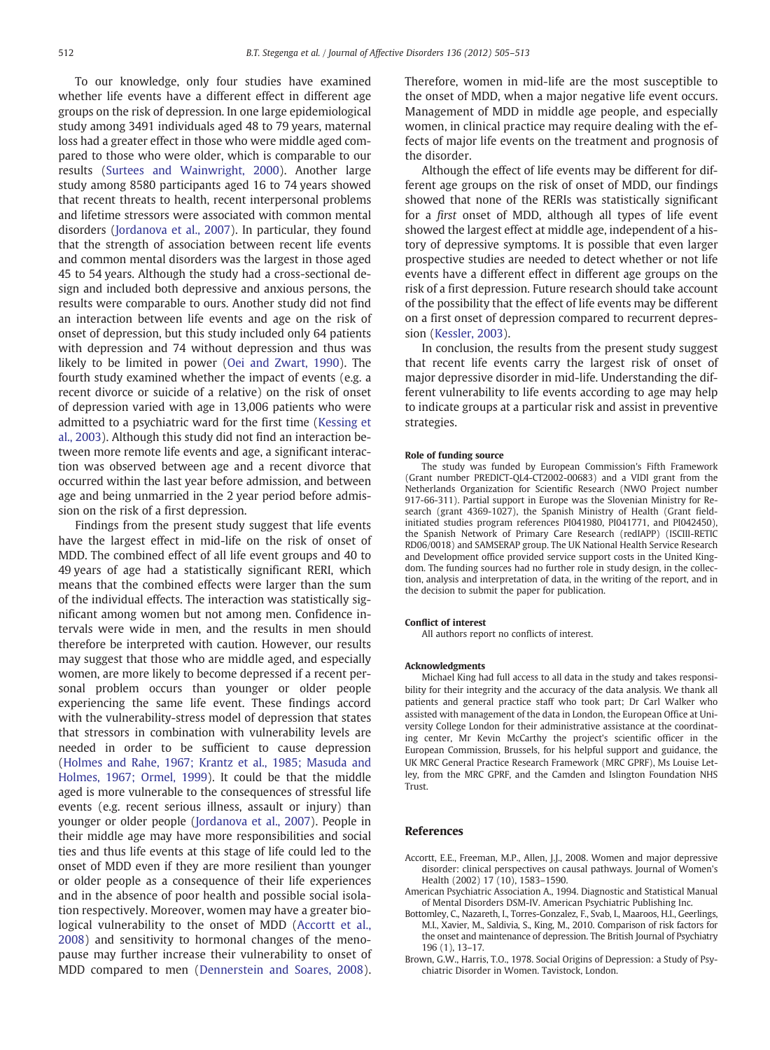<span id="page-7-0"></span>To our knowledge, only four studies have examined whether life events have a different effect in different age groups on the risk of depression. In one large epidemiological study among 3491 individuals aged 48 to 79 years, maternal loss had a greater effect in those who were middle aged compared to those who were older, which is comparable to our results [\(Surtees and Wainwright, 2000](#page-8-0)). Another large study among 8580 participants aged 16 to 74 years showed that recent threats to health, recent interpersonal problems and lifetime stressors were associated with common mental disorders ([Jordanova et al., 2007\)](#page-8-0). In particular, they found that the strength of association between recent life events and common mental disorders was the largest in those aged 45 to 54 years. Although the study had a cross-sectional design and included both depressive and anxious persons, the results were comparable to ours. Another study did not find an interaction between life events and age on the risk of onset of depression, but this study included only 64 patients with depression and 74 without depression and thus was likely to be limited in power ([Oei and Zwart, 1990\)](#page-8-0). The fourth study examined whether the impact of events (e.g. a recent divorce or suicide of a relative) on the risk of onset of depression varied with age in 13,006 patients who were admitted to a psychiatric ward for the first time ([Kessing et](#page-8-0) [al., 2003\)](#page-8-0). Although this study did not find an interaction between more remote life events and age, a significant interaction was observed between age and a recent divorce that occurred within the last year before admission, and between age and being unmarried in the 2 year period before admission on the risk of a first depression.

Findings from the present study suggest that life events have the largest effect in mid-life on the risk of onset of MDD. The combined effect of all life event groups and 40 to 49 years of age had a statistically significant RERI, which means that the combined effects were larger than the sum of the individual effects. The interaction was statistically significant among women but not among men. Confidence intervals were wide in men, and the results in men should therefore be interpreted with caution. However, our results may suggest that those who are middle aged, and especially women, are more likely to become depressed if a recent personal problem occurs than younger or older people experiencing the same life event. These findings accord with the vulnerability-stress model of depression that states that stressors in combination with vulnerability levels are needed in order to be sufficient to cause depression ([Holmes and Rahe, 1967; Krantz et al., 1985; Masuda and](#page-8-0) [Holmes, 1967; Ormel, 1999](#page-8-0)). It could be that the middle aged is more vulnerable to the consequences of stressful life events (e.g. recent serious illness, assault or injury) than younger or older people [\(Jordanova et al., 2007](#page-8-0)). People in their middle age may have more responsibilities and social ties and thus life events at this stage of life could led to the onset of MDD even if they are more resilient than younger or older people as a consequence of their life experiences and in the absence of poor health and possible social isolation respectively. Moreover, women may have a greater biological vulnerability to the onset of MDD (Accortt et al., 2008) and sensitivity to hormonal changes of the menopause may further increase their vulnerability to onset of MDD compared to men ([Dennerstein and Soares, 2008\)](#page-8-0). Therefore, women in mid-life are the most susceptible to the onset of MDD, when a major negative life event occurs. Management of MDD in middle age people, and especially women, in clinical practice may require dealing with the effects of major life events on the treatment and prognosis of the disorder.

Although the effect of life events may be different for different age groups on the risk of onset of MDD, our findings showed that none of the RERIs was statistically significant for a first onset of MDD, although all types of life event showed the largest effect at middle age, independent of a history of depressive symptoms. It is possible that even larger prospective studies are needed to detect whether or not life events have a different effect in different age groups on the risk of a first depression. Future research should take account of the possibility that the effect of life events may be different on a first onset of depression compared to recurrent depression [\(Kessler, 2003\)](#page-8-0).

In conclusion, the results from the present study suggest that recent life events carry the largest risk of onset of major depressive disorder in mid-life. Understanding the different vulnerability to life events according to age may help to indicate groups at a particular risk and assist in preventive strategies.

#### Role of funding source

The study was funded by European Commission's Fifth Framework (Grant number PREDICT-QL4-CT2002-00683) and a VIDI grant from the Netherlands Organization for Scientific Research (NWO Project number 917-66-311). Partial support in Europe was the Slovenian Ministry for Research (grant 4369-1027), the Spanish Ministry of Health (Grant fieldinitiated studies program references PI041980, PI041771, and PI042450), the Spanish Network of Primary Care Research (redIAPP) (ISCIII-RETIC RD06/0018) and SAMSERAP group. The UK National Health Service Research and Development office provided service support costs in the United Kingdom. The funding sources had no further role in study design, in the collection, analysis and interpretation of data, in the writing of the report, and in the decision to submit the paper for publication.

#### Conflict of interest

All authors report no conflicts of interest.

#### Acknowledgments

Michael King had full access to all data in the study and takes responsibility for their integrity and the accuracy of the data analysis. We thank all patients and general practice staff who took part; Dr Carl Walker who assisted with management of the data in London, the European Office at University College London for their administrative assistance at the coordinating center, Mr Kevin McCarthy the project's scientific officer in the European Commission, Brussels, for his helpful support and guidance, the UK MRC General Practice Research Framework (MRC GPRF), Ms Louise Letley, from the MRC GPRF, and the Camden and Islington Foundation NHS Trust.

#### References

- Accortt, E.E., Freeman, M.P., Allen, J.J., 2008. Women and major depressive disorder: clinical perspectives on causal pathways. Journal of Women's Health (2002) 17 (10), 1583–1590.
- American Psychiatric Association A., 1994. Diagnostic and Statistical Manual of Mental Disorders DSM-IV. American Psychiatric Publishing Inc.
- Bottomley, C., Nazareth, I., Torres-Gonzalez, F., Svab, I., Maaroos, H.I., Geerlings, M.I., Xavier, M., Saldivia, S., King, M., 2010. Comparison of risk factors for the onset and maintenance of depression. The British Journal of Psychiatry 196 (1), 13–17.
- Brown, G.W., Harris, T.O., 1978. Social Origins of Depression: a Study of Psychiatric Disorder in Women. Tavistock, London.